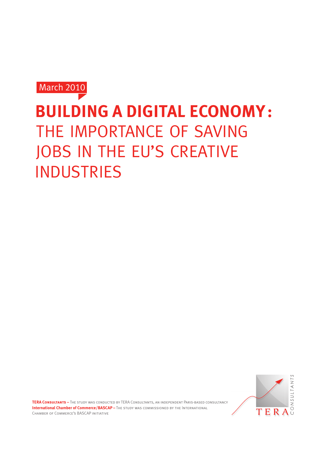March 2010

# **Building a Digital Economy:**  THE IMPORTANCE OF SAVING JOBS IN THE EU'S CREATIVE **INDUSTRIES**



**TERA Consultants –** The study was conducted by TERA Consultants, an independent Paris-based consultancy **International Chamber of Commerce/BASCAP –** The STUDY WAS COMMISSIONED BY THE INTERNATIONAL Chamber of Commerce's BASCAP initiative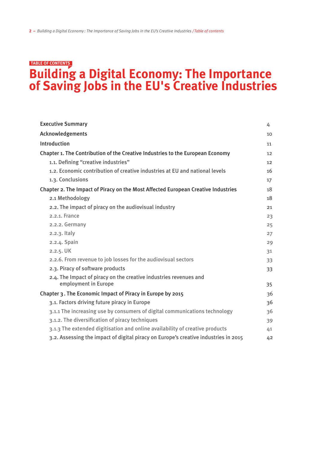### **Building a Digital Economy: The Importance of Saving Jobs in the EU's Creative Industries Table of contents**

| <b>Executive Summary</b>                                                                  | 4  |
|-------------------------------------------------------------------------------------------|----|
| Acknowledgements                                                                          | 10 |
| Introduction                                                                              | 11 |
| Chapter 1. The Contribution of the Creative Industries to the European Economy            | 12 |
| 1.1. Defining "creative industries"                                                       | 12 |
| 1.2. Economic contribution of creative industries at EU and national levels               | 16 |
| 1.3. Conclusions                                                                          | 17 |
| Chapter 2. The Impact of Piracy on the Most Affected European Creative Industries         | 18 |
| 2.1 Methodology                                                                           | 18 |
| 2.2. The impact of piracy on the audiovisual industry                                     | 21 |
| 2.2.1. France                                                                             | 23 |
| 2.2.2. Germany                                                                            | 25 |
| 2.2.3. Italy                                                                              | 27 |
| 2.2.4. Spain                                                                              | 29 |
| 2.2.5. UK                                                                                 | 31 |
| 2.2.6. From revenue to job losses for the audiovisual sectors                             | 33 |
| 2.3. Piracy of software products                                                          | 33 |
| 2.4. The Impact of piracy on the creative industries revenues and<br>employment in Europe | 35 |
| Chapter 3. The Economic Impact of Piracy in Europe by 2015                                | 36 |
| 3.1. Factors driving future piracy in Europe                                              | 36 |
| 3.1.1 The increasing use by consumers of digital communications technology                | 36 |
| 3.1.2. The diversification of piracy techniques                                           | 39 |
| 3.1.3 The extended digitisation and online availability of creative products              | 41 |
| 3.2. Assessing the impact of digital piracy on Europe's creative industries in 2015       | 42 |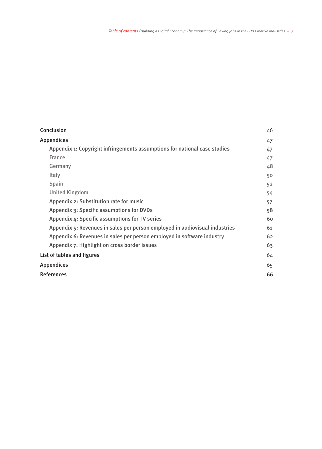| Conclusion                                                                  | 46 |
|-----------------------------------------------------------------------------|----|
| <b>Appendices</b>                                                           | 47 |
| Appendix 1: Copyright infringements assumptions for national case studies   | 47 |
| France                                                                      | 47 |
| Germany                                                                     | 48 |
| <b>Italy</b>                                                                | 50 |
| Spain                                                                       | 52 |
| <b>United Kingdom</b>                                                       | 54 |
| Appendix 2: Substitution rate for music                                     | 57 |
| Appendix 3: Specific assumptions for DVDs                                   | 58 |
| Appendix 4: Specific assumptions for TV series                              | 60 |
| Appendix 5: Revenues in sales per person employed in audiovisual industries | 61 |
| Appendix 6: Revenues in sales per person employed in software industry      | 62 |
| Appendix 7: Highlight on cross border issues                                | 63 |
| List of tables and figures                                                  | 64 |
| <b>Appendices</b>                                                           | 65 |
| <b>References</b>                                                           | 66 |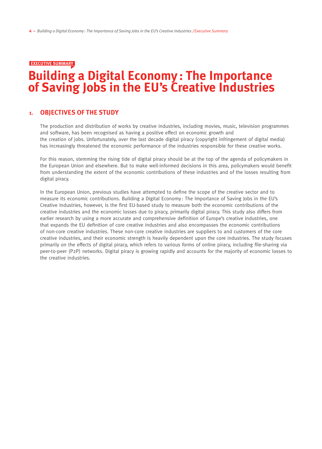#### **EXECUTIVE SUMMARY**

# **Building a Digital Economy : The Importance of Saving Jobs in the EU's Creative Industries**

#### **1. Objectives of the study**

The production and distribution of works by creative industries, including movies, music, television programmes and software, has been recognised as having a positive effect on economic growth and the creation of jobs. Unfortunately, over the last decade digital piracy (copyright infringement of digital media) has increasingly threatened the economic performance of the industries responsible for these creative works.

For this reason, stemming the rising tide of digital piracy should be at the top of the agenda of policymakers in the European Union and elsewhere. But to make well-informed decisions in this area, policymakers would benefit from understanding the extent of the economic contributions of these industries and of the losses resulting from digital piracy.

In the European Union, previous studies have attempted to define the scope of the creative sector and to measure its economic contributions. Building a Digital Economy : The Importance of Saving Jobs in the EU's Creative Industries, however, is the first EU-based study to measure both the economic contributions of the creative industries and the economic losses due to piracy, primarily digital piracy. This study also differs from earlier research by using a more accurate and comprehensive definition of Europe's creative industries, one that expands the EU definition of core creative industries and also encompasses the economic contributions of non-core creative industries. These non-core creative industries are suppliers to and customers of the core creative industries, and their economic strength is heavily dependent upon the core industries. The study focuses primarily on the effects of digital piracy, which refers to various forms of online piracy, including file-sharing via peer-to-peer (P2P) networks. Digital piracy is growing rapidly and accounts for the majority of economic losses to the creative industries.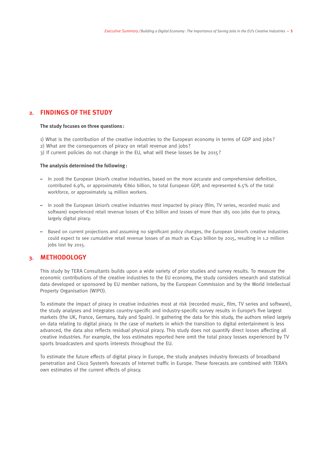#### **2. Findings of the Study**

#### **The study focuses on three questions :**

- 1) What is the contribution of the creative industries to the European economy in terms of GDP and jobs ?
- 2) What are the consequences of piracy on retail revenue and jobs ?
- 3) If current policies do not change in the EU, what will these losses be by 2015?

#### **The analysis determined the following:**

- In 2008 the European Union's creative industries, based on the more accurate and comprehensive definition, contributed 6.9%, or approximately €860 billion, to total European GDP, and represented 6.5% of the total workforce, or approximately 14 million workers.
- In 2008 the European Union's creative industries most impacted by piracy (film, TV series, recorded music and software) experienced retail revenue losses of €10 billion and losses of more than 185 000 jobs due to piracy, largely digital piracy.
- Based on current projections and assuming no significant policy changes, the European Union's creative industries could expect to see cumulative retail revenue losses of as much as  $\epsilon$ 240 billion by 2015, resulting in 1.2 million jobs lost by 2015.

#### **3. Methodology**

This study by TERA Consultants builds upon a wide variety of prior studies and survey results. To measure the economic contributions of the creative industries to the EU economy, the study considers research and statistical data developed or sponsored by EU member nations, by the European Commission and by the World Intellectual Property Organisation (WIPO).

To estimate the impact of piracy in creative industries most at risk (recorded music, film, TV series and software), the study analyses and integrates country-specific and industry-specific survey results in Europe's five largest markets (the UK, France, Germany, Italy and Spain). In gathering the data for this study, the authors relied largely on data relating to digital piracy. In the case of markets in which the transition to digital entertainment is less advanced, the data also reflects residual physical piracy. This study does not quantify direct losses affecting all creative industries. For example, the loss estimates reported here omit the total piracy losses experienced by TV sports broadcasters and sports interests throughout the EU.

To estimate the future effects of digital piracy in Europe, the study analyses industry forecasts of broadband penetration and Cisco System's forecasts of Internet traffic in Europe. These forecasts are combined with TERA's own estimates of the current effects of piracy.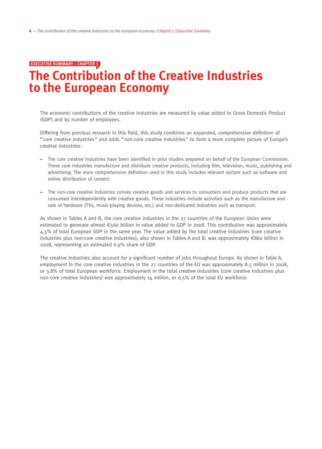#### **EXECUTIVE SUMMARY – chapter 1**

# **The Contribution of the Creative Industries to the European Economy**

The economic contributions of the creative industries are measured by value added to Gross Domestic Product (GDP) and by number of employees.

Differing from previous research in this field, this study combines an expanded, comprehensive definition of " core creative industries " and adds "non-core creative industries " to form a more complete picture of Europe's creative industries :

- The core creative industries have been identified in prior studies prepared on behalf of the European Commission. These core industries manufacture and distribute creative products, including film, television, music, publishing and advertising. The more comprehensive definition used in this study includes relevant sectors such as software and online distribution of content.
- The non-core creative industries convey creative goods and services to consumers and produce products that are consumed interdependently with creative goods. These industries include activities such as the manufacture and sale of hardware (TVs, music-playing devices, etc.) and non-dedicated industries such as transport.

As shown in Tables A and B, the core creative industries in the 27 countries of the European Union were estimated to generate almost €560 billion in value added to GDP in 2008. This contribution was approximately 4.5% of total European GDP in the same year. The value added by the total creative industries (core creative industries plus non-core creative industries), also shown in Tables A and B, was approximately €860 billion in 2008, representing an estimated 6.9% share of GDP.

The creative industries also account for a significant number of jobs throughout Europe. As shown in Table A, employment in the core creative industries in the 27 countries of the EU was approximately 8.5 million in 2008, or 3.8% of total European workforce. Employment in the total creative industries (core creative industries plus non-core creative industries) was approximately 14 million, or 6.5% of the total EU workforce.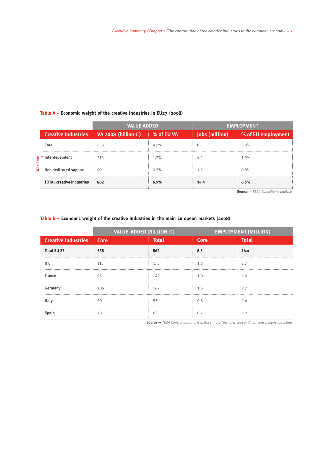#### **Table A – Economic weight of the creative industries in EU27 (2008)**

|  |                                  | <b>VALUE ADDED</b>                                |            | <b>EMPLOYMENT</b> |                                   |  |
|--|----------------------------------|---------------------------------------------------|------------|-------------------|-----------------------------------|--|
|  |                                  | Creative Industries VA 2008 (billion $\epsilon$ ) | % of EU VA |                   | Jobs (million) % of EU employment |  |
|  | ັດre                             | 558                                               | 4.5%       | 8.5               | 3.8%                              |  |
|  |                                  | 213                                               | 1.7%       | 4.2               | 1.9%                              |  |
|  |                                  | 90                                                | 0.7%       | 1.7               | 0.8%                              |  |
|  | <b>TOTAL creative industries</b> | 862                                               |            | 14.4              | 6.5%                              |  |

**Source —** *TERA Consultants analysis*

#### **Table B – Economic weight of the creative industries in the main European markets (2008)**

|                            | <b>VALUE ADDED (BILLION <math>\epsilon</math>)</b> |              |             | <b>EMPLOYMENT (MILLION)</b> |
|----------------------------|----------------------------------------------------|--------------|-------------|-----------------------------|
| <b>Creative Industries</b> | <b>Core</b>                                        | <b>Total</b> | <b>Core</b> | <b>Total</b>                |
| <b>Total EU 27</b>         | 558                                                | 862          | 8.5         | 14.4                        |
| UK                         | 113                                                | 175          | 1.6         | 2.7                         |
| <b>France</b>              | 95                                                 | 142          | 1.0         | 1.6                         |
| Germany                    | 105                                                | 162          | 1.6         | 2.7                         |
|                            | 60                                                 | 93           | 0.8         | 1.4                         |
|                            | 40                                                 | 62           | 0.7         | 1.2                         |

**Source —** *TERA Consultants analysis. Note : 'total' includes core and non-core creative industries*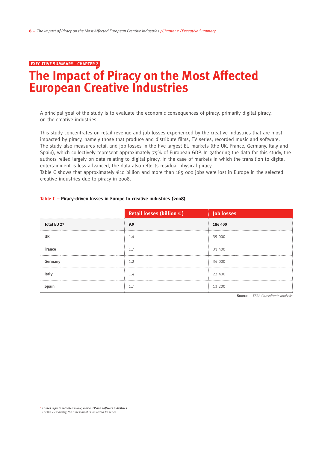#### **EXECUTIVE SUMMARY – chapter 2**

## **The Impact of Piracy on the Most Affected European Creative Industries**

A principal goal of the study is to evaluate the economic consequences of piracy, primarily digital piracy, on the creative industries.

This study concentrates on retail revenue and job losses experienced by the creative industries that are most impacted by piracy, namely those that produce and distribute films, TV series, recorded music and software. The study also measures retail and job losses in the five largest EU markets (the UK, France, Germany, Italy and Spain), which collectively represent approximately 75% of European GDP. In gathering the data for this study, the authors relied largely on data relating to digital piracy. In the case of markets in which the transition to digital entertainment is less advanced, the data also reflects residual physical piracy.

Table C shows that approximately  $\epsilon$ 10 billion and more than 185 000 jobs were lost in Europe in the selected creative industries due to piracy in 2008.

|                    | Retail losses (billion $\epsilon$ ) | <b>Job losses</b> |
|--------------------|-------------------------------------|-------------------|
| <b>Total EU 27</b> | 9.9                                 | 186 400           |
|                    | . . 4                               | 39 000            |
| <b>France</b>      | 1.7                                 | 31 400            |
| Germany            |                                     | 34 000            |
|                    | 1.4                                 | 22 400            |
|                    |                                     | 13 200            |

#### Table C – Piracy-driven losses in Europe to creative industries (2008)<sup><sup>1</sup></sup>

**Source —** *TERA Consultants analysis* 

**<sup>1</sup>** *Losses refer to recorded music, movie, TV and software industries.*

*For the TV industry, the assessment is limited to TV series.*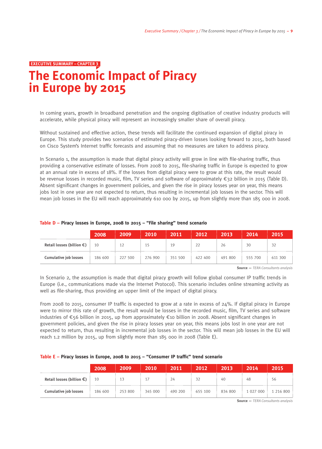#### **EXECUTIVE SUMMARY – chapter 3**

# **The Economic Impact of Piracy in Europe by 2015**

In coming years, growth in broadband penetration and the ongoing digitisation of creative industry products will accelerate, while physical piracy will represent an increasingly smaller share of overall piracy.

Without sustained and effective action, these trends will facilitate the continued expansion of digital piracy in Europe. This study provides two scenarios of estimated piracy-driven losses looking forward to 2015, both based on Cisco System's Internet traffic forecasts and assuming that no measures are taken to address piracy.

In Scenario 1, the assumption is made that digital piracy activity will grow in line with file-sharing traffic, thus providing a conservative estimate of losses. From 2008 to 2015, file-sharing traffic in Europe is expected to grow at an annual rate in excess of 18%. If the losses from digital piracy were to grow at this rate, the result would be revenue losses in recorded music, film, TV series and software of approximately €32 billion in 2015 (Table D). Absent significant changes in government policies, and given the rise in piracy losses year on year, this means jobs lost in one year are not expected to return, thus resulting in incremental job losses in the sector. This will mean job losses in the EU will reach approximately 610 000 by 2015, up from slightly more than 185 000 in 2008.

|                                     | 2008    | 2009'   | 2010\   | 2011    | 2012    | 2013    | 2014'   | 2015    |
|-------------------------------------|---------|---------|---------|---------|---------|---------|---------|---------|
| Retail losses (billion $\epsilon$ ) | 10      | 17      | ħ       | 19      | $\sim$  | 26      | 30      |         |
| <b>Cumulative job losses</b>        | 186 600 | 227 500 | 276 900 | 351 500 | 422 400 | 491 800 | 555 700 | 611 300 |

#### **Table D – Piracy losses in Europe, 2008 to 2015 – "File sharing" trend scenario**

**Source —** *TERA Consultants analysis* 

In Scenario 2, the assumption is made that digital piracy growth will follow global consumer IP traffic trends in Europe (i.e., communications made via the Internet Protocol). This scenario includes online streaming activity as well as file-sharing, thus providing an upper limit of the impact of digital piracy.

From 2008 to 2015, consumer IP traffic is expected to grow at a rate in excess of 24%. If digital piracy in Europe were to mirror this rate of growth, the result would be losses in the recorded music, film, TV series and software industries of €56 billion in 2015, up from approximately €10 billion in 2008. Absent significant changes in government policies, and given the rise in piracy losses year on year, this means jobs lost in one year are not expected to return, thus resulting in incremental job losses in the sector. This will mean job losses in the EU will reach 1.2 million by 2015, up from slightly more than 185 000 in 2008 (Table E).

|  |  |  |  |  |  | Table E - Piracy losses in Europe, 2008 to 2015 - "Consumer IP traffic" trend scenario |
|--|--|--|--|--|--|----------------------------------------------------------------------------------------|
|--|--|--|--|--|--|----------------------------------------------------------------------------------------|

|                                                                     | 2008    | 2009    | 2010    | 2011    | 2012    | 2013    | 2014      | 2015      |
|---------------------------------------------------------------------|---------|---------|---------|---------|---------|---------|-----------|-----------|
| Retail losses (billion $\epsilon$ )<br><b>Cumulative job losses</b> | 10      | 13      |         | 24      | 32      | 40      | 48        | 56.       |
|                                                                     | 186 600 | 253 800 | 345 000 | 490 200 | 655 100 | 834 800 | 1 027 000 | 1 216 800 |

**Source —** *TERA Consultants analysis*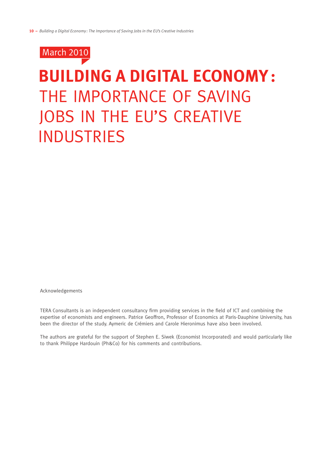

# **Building a Digital Economy:**  The Importance of Saving JOBS IN THE EU'S CREATIVE **INDUSTRIES**

Acknowledgements

TERA Consultants is an independent consultancy firm providing services in the field of ICT and combining the expertise of economists and engineers. Patrice Geoffron, Professor of Economics at Paris-Dauphine University, has been the director of the study. Aymeric de Crémiers and Carole Hieronimus have also been involved.

The authors are grateful for the support of Stephen E. Siwek (Economist Incorporated) and would particularly like to thank Philippe Hardouin (Ph&Co) for his comments and contributions.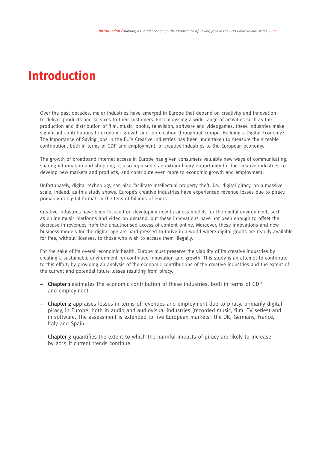# **Introduction**

Over the past decades, major industries have emerged in Europe that depend on creativity and innovation to deliver products and services to their customers. Encompassing a wide range of activities such as the production and distribution of film, music, books, television, software and videogames, these industries make significant contributions to economic growth and job creation throughout Europe. Building a Digital Economy : The Importance of Saving Jobs in the EU's Creative Industries has been undertaken to measure the sizeable contribution, both in terms of GDP and employment, of creative industries to the European economy.

The growth of broadband Internet access in Europe has given consumers valuable new ways of communicating, sharing information and shopping. It also represents an extraordinary opportunity for the creative industries to develop new markets and products, and contribute even more to economic growth and employment.

Unfortunately, digital technology can also facilitate intellectual property theft, i.e., digital piracy, on a massive scale. Indeed, as this study shows, Europe's creative industries have experienced revenue losses due to piracy, primarily in digital format, in the tens of billions of euros.

Creative industries have been focused on developing new business models for the digital environment, such as online music platforms and video on demand, but these innovations have not been enough to offset the decrease in revenues from the unauthorised access of content online. Moreover, these innovations and new business models for the digital age are hard-pressed to thrive in a world where digital goods are readily available for free, without licenses, to those who wish to access them illegally.

For the sake of its overall economic health, Europe must preserve the viability of its creative industries by creating a sustainable environment for continued innovation and growth. This study is an attempt to contribute to this effort, by providing an analysis of the economic contributions of the creative industries and the extent of the current and potential future losses resulting from piracy.

- **–** Chapter 1 estimates the economic contribution of these industries, both in terms of GDP and employment.
- **–** Chapter 2 appraises losses in terms of revenues and employment due to piracy, primarily digital piracy, in Europe, both in audio and audiovisual industries (recorded music, film, TV series) and in software. The assessment is extended to five European markets : the UK, Germany, France, Italy and Spain.
- **–** Chapter 3 quantifies the extent to which the harmful impacts of piracy are likely to increase by 2015 if current trends continue.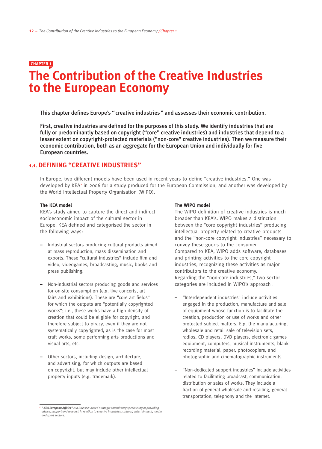### **The Contribution of the Creative Industries to the European Economy chapter 1**

This chapter defines Europe's " creative industries " and assesses their economic contribution.

First, creative industries are defined for the purposes of this study. We identify industries that are fully or predominantly based on copyright ("core" creative industries) and industries that depend to a lesser extent on copyright-protected materials ("non-core" creative industries). Then we measure their economic contribution, both as an aggregate for the European Union and individually for five European countries.

#### **1.1. defining "creative industries"**

In Europe, two different models have been used in recent years to define "creative industries." One was developed by KEA<sup>2</sup> in 2006 for a study produced for the European Commission, and another was developed by the World Intellectual Property Organisation (WIPO).

#### **The KEA model**

KEA's study aimed to capture the direct and indirect socioeconomic impact of the cultural sector in Europe. KEA defined and categorised the sector in the following ways :

- **–** Industrial sectors producing cultural products aimed at mass reproduction, mass dissemination and exports. These "cultural industries" include film and video, videogames, broadcasting, music, books and press publishing.
- **–** Non-industrial sectors producing goods and services for on-site consumption (e.g. live concerts, art fairs and exhibitions). These are "core art fields" for which the outputs are "potentially copyrighted works"; i.e., these works have a high density of creation that could be eligible for copyright, and therefore subject to piracy, even if they are not systematically copyrighted, as is the case for most craft works, some performing arts productions and visual arts, etc.
- **–** Other sectors, including design, architecture, and advertising, for which outputs are based on copyright, but may include other intellectual property inputs (e.g. trademark).

#### **The WIPO model**

The WIPO definition of creative industries is much broader than KEA's. WIPO makes a distinction between the "core copyright industries" producing intellectual property related to creative products and the "non-core copyright industries" necessary to convey these goods to the consumer. Compared to KEA, WIPO adds software, databases and printing activities to the core copyright industries, recognizing these activities as major contributors to the creative economy. Regarding the "non-core industries," two sector categories are included in WIPO's approach:

- **–** "Interdependent industries" include activities engaged in the production, manufacture and sale of equipment whose function is to facilitate the creation, production or use of works and other protected subject matters. E.g. the manufacturing, wholesale and retail sale of television sets, radios, CD players, DVD players, electronic games equipment, computers, musical instruments, blank recording material, paper, photocopiers, and photographic and cinematographic instruments.
- **–** "Non-dedicated support industries" include activities related to facilitating broadcast, communication, distribution or sales of works. They include a fraction of general wholesale and retailing, general transportation, telephony and the Internet.

*<sup>2</sup> "KEA European Affairs" is a Brussels-based strategic consultancy specialising in providing advice, support and research in relation to creative industries, cultural, entertainment, media and sport sectors.*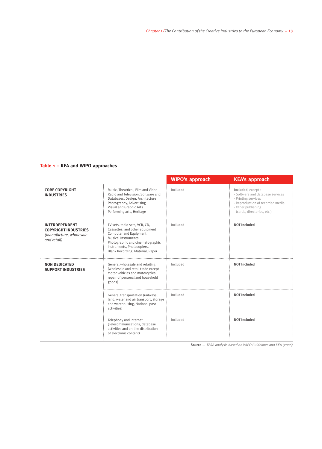#### **Table 1 – KEA and WIPO approaches**

|                                                                                                |                                                                                                                                                                                                                        | <b>WIPO's approach</b> | <b>KEA's approach</b>                                                                                                                                                |
|------------------------------------------------------------------------------------------------|------------------------------------------------------------------------------------------------------------------------------------------------------------------------------------------------------------------------|------------------------|----------------------------------------------------------------------------------------------------------------------------------------------------------------------|
| <b>CORE COPYRIGHT</b><br><b>INDUSTRIES</b>                                                     | Music, Theatrical, Film and Video<br>Radio and Television, Software and<br>Databases, Design, Architecture<br>Photography, Advertising<br>Visual and Graphic Arts<br>Performing arts, Heritage                         | Included               | Included, except:<br>- Software and database services<br>- Printing services<br>- Reproduction of recorded media<br>- Other publishing<br>(cards, directories, etc.) |
| <b>INTERDEPENDENT</b><br><b>COPYRIGHT INDUSTRIES</b><br>(manufacture, wholesale<br>and retail) | TV sets, radio sets, VCR, CD,<br>Cassettes, and other equipment<br>Computer and Equipment<br>Musical Instruments<br>Photographic and cinematographic<br>instruments, Photocopiers,<br>Blank Recording, Material, Paper | Included               | <b>NOT Included</b>                                                                                                                                                  |
| <b>NON DEDICATED</b><br><b>SUPPORT INDUSTRIES</b>                                              | General wholesale and retailing<br>(wholesale and retail trade except<br>motor vehicles and motorcycles;<br>repair of personal and household<br>goods)                                                                 | Included               | <b>NOT Included</b>                                                                                                                                                  |
|                                                                                                | General transportation (railways,<br>land, water and air transport, storage<br>and warehousing, National post<br>activities)                                                                                           | Included               | <b>NOT Included</b>                                                                                                                                                  |
|                                                                                                | Telephony and Internet<br>(Telecommunications, database<br>activities and on-line distribution<br>of electronic content)                                                                                               | Included               | <b>NOT Included</b>                                                                                                                                                  |

**Source —** *TERA analysis based on WIPO Guidelines and KEA (2006)*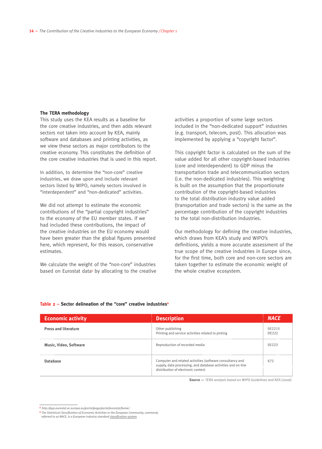#### **The TERA methodology**

This study uses the KEA results as a baseline for the core creative industries, and then adds relevant sectors not taken into account by KEA, mainly software and databases and printing activities, as we view these sectors as major contributors to the creative economy. This constitutes the definition of the core creative industries that is used in this report.

In addition, to determine the "non-core" creative industries, we draw upon and include relevant sectors listed by WIPO, namely sectors involved in "interdependent" and "non-dedicated" activities.

We did not attempt to estimate the economic contributions of the "partial copyright industries" to the economy of the EU member states. If we had included these contributions, the impact of the creative industries on the EU economy would have been greater than the global figures presented here, which represent, for this reason, conservative estimates.

We calculate the weight of the "non-core" industries based on Eurostat data<sup>3</sup> by allocating to the creative

activities a proportion of some large sectors included in the "non-dedicated support" industries (e.g. transport, telecom, post). This allocation was implemented by applying a "copyright factor".

This copyright factor is calculated on the sum of the value added for all other copyright-based industries (core and interdependent) to GDP minus the transportation trade and telecommunication sectors (i.e. the non-dedicated industries). This weighting is built on the assumption that the proportionate contribution of the copyright-based industries to the total distribution industry value added (transportation and trade sectors) is the same as the percentage contribution of the copyright industries to the total non-distribution industries.

Our methodology for defining the creative industries, which draws from KEA's study and WIPO's definitions, yields a more accurate assessment of the true scope of the creative industries in Europe since, for the first time, both core and non-core sectors are taken together to estimate the economic weight of the whole creative ecosystem.

| <b>Economic activity</b>    | <b>Description</b>                                                                                                                                              |                 |
|-----------------------------|-----------------------------------------------------------------------------------------------------------------------------------------------------------------|-----------------|
| <b>Press and literature</b> | Other publishing<br>Printing and service activities related to pinting                                                                                          | DE2215<br>DF222 |
| Music, Video, Software      | Reproduction of recorded media                                                                                                                                  | DFフフミ           |
|                             | Computer and related activities (software consultancy and<br>supply, data processing, and database activities and on-line<br>distribution of electronic conten) | K72             |

#### **Table 2 – Sector delineation of the "core" creative industries4**

**Source —** *TERA analysis based on WIPO Guidelines and KEA (2006).* 

**<sup>3</sup>** *http://epp.eurostat.ec.europa.eu/portal/page/portal/eurostat/home/*

**<sup>4</sup>** *The Statistical Classification of Economic Activities in the European Community, commonly* 

*referred to as NACE, is a European industry standard classification system.*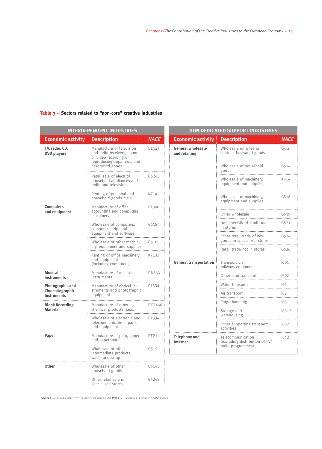|                                       | <b>INTERDEPENDENT INDUSTRIES</b>                                                                               |                               | <b>NON DEDICATED SUPPORT INDUSTRIES</b>   |                                                          |             |  |  |
|---------------------------------------|----------------------------------------------------------------------------------------------------------------|-------------------------------|-------------------------------------------|----------------------------------------------------------|-------------|--|--|
| <b>Economic activity</b>              | <b>Description</b>                                                                                             | <b>NACE</b>                   | <b>Economic activity</b>                  | <b>Description</b>                                       | <b>NACE</b> |  |  |
| TV, radio, CD,<br><b>DVD</b> players  | Manufacture of television<br>and radio receivers, sound<br>or video recording or<br>reproducing apparatus, and | DL323                         | <b>General wholesale</b><br>and retailing | Wholesale on a fee or<br>contract basisated goods        | G511        |  |  |
|                                       | associated goods                                                                                               |                               |                                           | Wholesale of household<br>goods                          | G514        |  |  |
|                                       | Retail sale of electrical<br>household appliances and<br>radio and television                                  | G5245                         |                                           | Wholesale of machinery,<br>equipment and supplies        | K714        |  |  |
|                                       | Renting of personal and<br>household goods n.e.c.                                                              | K714                          |                                           | Wholesale of machinery,<br>equipment and supplies        | G518        |  |  |
| <b>Computers</b><br>and equipment     | Manufacture of office,<br>accounting and computing<br>machinery                                                | DL300                         |                                           | Other wholesale                                          | G519        |  |  |
|                                       | Wholesale of computers,<br>computer peripheral                                                                 | G5184                         |                                           | Non-specialized retail trade<br>in stores                | G521        |  |  |
|                                       | equipment and software<br>Wholesale of other machin-                                                           | G5185                         |                                           | Other retail trade of new<br>goods in specialized stores | G524        |  |  |
|                                       | ery, equipment and supplies<br>Renting of office machinery                                                     | K7133                         |                                           | Retail trade not in stores                               | G526        |  |  |
|                                       | and equipment<br>(including computers)                                                                         | <b>General transportation</b> | Transport via<br>railways equipment       | 1601                                                     |             |  |  |
| <b>Musical</b><br>instruments         | Manufacture of musical<br>instruments                                                                          | DN363                         |                                           | Other land transport                                     | 1602        |  |  |
| Photographic and                      | Manufacture of optical in-                                                                                     | DL334                         |                                           | Water transport                                          | 161         |  |  |
| Cinematographic<br><b>Instruments</b> | struments and photographic<br>equipment                                                                        |                               |                                           | Air transport                                            | 162         |  |  |
| <b>Blank Recording</b>                | Manufacture of other                                                                                           | DG2466                        |                                           | Cargo handling                                           | 16311       |  |  |
| <b>Material</b>                       | chemical products n.e.c.                                                                                       |                               |                                           | Storage and<br>warehousing                               | 16312       |  |  |
|                                       | Wholesale of electronic and<br>telecommunications parts<br>and equipment                                       | DL334                         |                                           | Other supporting transport<br>activities                 | 1632        |  |  |
| Paper                                 | Manufacture of pulp, paper<br>and paperboard                                                                   | DE211                         | <b>Telephony and</b><br>Internet          | Telecommunication<br>(excluding distribution of TV/      | 1642        |  |  |
|                                       | Wholesale of other<br>intermediate products,<br>waste and scrap                                                | G515                          |                                           | radio programmes)                                        |             |  |  |
| Other                                 | Wholesale of other<br>household goods                                                                          | G5143                         |                                           |                                                          |             |  |  |
|                                       | Other retail sale in<br>specialized stores                                                                     | G5248                         |                                           |                                                          |             |  |  |

#### **Table 3 – Sectors related to "non-core" creative industries**

**Source —** *TERA Consultants analysis based on WIPO Guidelines. Eurostat categories.*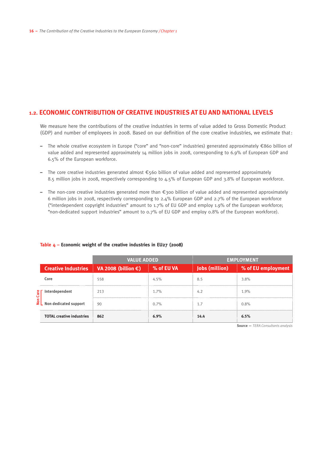#### **1.2. Economic contribution of creative industries at EU and national levels**

We measure here the contributions of the creative industries in terms of value added to Gross Domestic Product (GDP) and number of employees in 2008. Based on our definition of the core creative industries, we estimate that:

- **–** The whole creative ecosystem in Europe ("core" and "non-core" industries) generated approximately €860 billion of value added and represented approximately 14 million jobs in 2008, corresponding to 6.9% of European GDP and 6.5% of the European workforce.
- **–** The core creative industries generated almost €560 billion of value added and represented approximately 8.5 million jobs in 2008, respectively corresponding to 4.5% of European GDP and 3.8% of European workforce.
- **–** The non-core creative industries generated more than €300 billion of value added and represented approximately 6 million jobs in 2008, respectively corresponding to 2.4% European GDP and 2.7% of the European workforce ("interdependent copyright industries" amount to 1.7% of EU GDP and employ 1.9% of the European workforce; "non-dedicated support industries" amount to 0.7% of EU GDP and employ 0.8% of the European workforce).

|  |                                                                     | <b>VALUE ADDED</b>                                               |         | <b>EMPLOYMENT</b> |                                   |  |
|--|---------------------------------------------------------------------|------------------------------------------------------------------|---------|-------------------|-----------------------------------|--|
|  |                                                                     | Creative Industries   VA 2008 (billion $\epsilon$ )   % of EU VA |         |                   | Jobs (million) % of EU employment |  |
|  | ∃ore                                                                | 558                                                              | $4.5\%$ | 8.5               | 3.8%                              |  |
|  | Interdependent                                                      | 213                                                              | 1.7%    | 4.2               | 1.9%                              |  |
|  | $\frac{g}{g}$ Interdependent<br>$\frac{g}{g}$ Non dedicated support | 90                                                               | $0.7\%$ |                   | 0.8%                              |  |
|  | <b>TOTAL creative industries</b>                                    | 862                                                              |         | 14.4              | 6.5%                              |  |

#### **Table 4 – Economic weight of the creative industries in EU27 (2008)**

**Source —** *TERA Consultants analysis*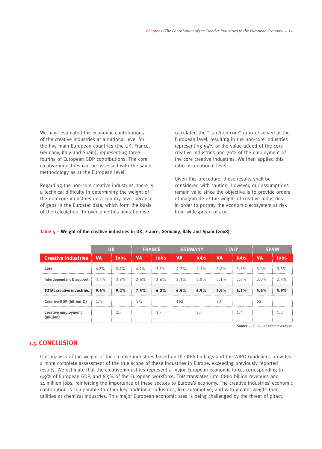We have estimated the economic contributions of the creative industries at a national level for the five main European countries (the UK, France, Germany, Italy and Spain), representing threefourths of European GDP contributions. The core creative industries can be assessed with the same methodology as at the European level.

Regarding the non-core creative industries, there is a technical difficulty in determining the weight of the non-core industries on a country level because of gaps in the Eurostat data, which form the basis of the calculation. To overcome this limitation we

calculated the "core/non-core" ratio observed at the European level, resulting in the non-core industries representing 54% of the value added of the core creative industries and 70% of the employment of the core creative industries. We then applied this ratio at a national level.

Given this procedure, these results shall be considered with caution. However, our assumptions remain valid since the objective is to provide orders of magnitude of the weight of creative industries in order to portray the economic ecosystem at risk from widespread piracy.

|                                                         |           | ΠК          |           | <b>FRANCE</b> | <b>GERMANY</b> |             |           | <b>ITALY</b>                |           | <b>SPAIN</b> |
|---------------------------------------------------------|-----------|-------------|-----------|---------------|----------------|-------------|-----------|-----------------------------|-----------|--------------|
| <b>Creative Industries</b>                              | <b>VA</b> | <b>lobs</b> | <b>VA</b> | lobs          | <b>VA</b>      | <b>lobs</b> | <b>VA</b> | Jobs                        | <b>VA</b> |              |
| Core                                                    | 6.2%      | $5.4\%$     | 4.9%      | $3.7\%$       | 4.2%           | $4.1\%$     | $3.8\%$   | $3.6\%$                     | $3.6\%$   | 3.5%         |
| <b>Interdependant &amp; support</b> 3.4% 3.8% 2.6% 2.6% |           |             |           |               |                |             |           | $2.3\%$ 2.8% 2.1% 2.5% 2.0% |           | 2.4%         |
| <b>TOTAL creative industries 9.6%</b>                   |           | $9.2\%$     | 7.5%      | $6.2\%$       | 6.5%           | $6.9\%$     | $5.9\%$   | 6.1%                        | 5.6%      | 5.9%         |
| Creative GDP (billion €) 175                            |           |             | 142       |               | 162            |             | 93        |                             | 62        |              |
| <b>Creative employment</b>                              |           | 2.7         |           |               |                | 2.7         |           | 1.4                         |           |              |

#### **Table 5 – Weight of the creative industries in UK, France, Germany, Italy and Spain (2008)**

**Source —** *TERA Consultants analysis*

#### **1.3. CONCLUSION**

Our analysis of the weight of the creative industries based on the KEA findings and the WIPO Guidelines provides a more complete assessment of the true scope of these industries in Europe, exceeding previously reported results. We estimate that the creative industries represent a major European economic force, corresponding to 6.9% of European GDP, and 6.5% of the European workforce. This translates into €860 billion revenues and 14 million jobs, reinforcing the importance of these sectors to Europe's economy. The creative industries' economic contribution is comparable to other key traditional industries, like automotive, and with greater weight than utilities or chemical industries. This major European economic area is being challenged by the threat of piracy.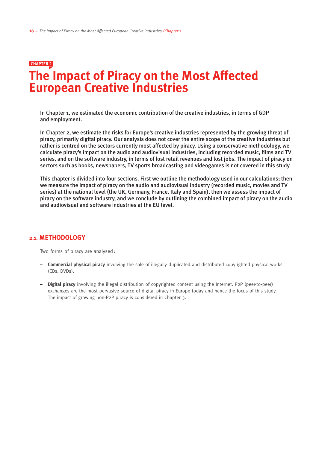### **The Impact of Piracy on the Most Affected European Creative Industries chapter 2**

In Chapter 1, we estimated the economic contribution of the creative industries, in terms of GDP and employment.

In Chapter 2, we estimate the risks for Europe's creative industries represented by the growing threat of piracy, primarily digital piracy. Our analysis does not cover the entire scope of the creative industries but rather is centred on the sectors currently most affected by piracy. Using a conservative methodology, we calculate piracy's impact on the audio and audiovisual industries, including recorded music, films and TV series, and on the software industry, in terms of lost retail revenues and lost jobs. The impact of piracy on sectors such as books, newspapers, TV sports broadcasting and videogames is not covered in this study.

This chapter is divided into four sections. First we outline the methodology used in our calculations; then we measure the impact of piracy on the audio and audiovisual industry (recorded music, movies and TV series) at the national level (the UK, Germany, France, Italy and Spain), then we assess the impact of piracy on the software industry, and we conclude by outlining the combined impact of piracy on the audio and audiovisual and software industries at the EU level.

#### **2.1. Methodology**

Two forms of piracy are analysed:

- **– Commercial physical piracy** involving the sale of illegally duplicated and distributed copyrighted physical works (CDs, DVDs).
- **– Digital piracy** involving the illegal distribution of copyrighted content using the Internet. P2P (peer-to-peer) exchanges are the most pervasive source of digital piracy in Europe today and hence the focus of this study. The impact of growing non-P2P piracy is considered in Chapter 3.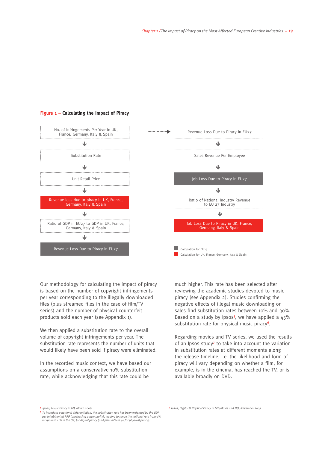Revenue Loss Due to Piracy in EU27

↓

Sales Revenue Per Employee

Job Loss Due to Piracy in EU27

J

Ratio of National Industry Revenue to EU 27 Industry

J

Job Loss Due to Piracy in UK, France, Germany, Italy & Spain

J

Calculation for UK, France, Germany, Italy & Spain

Calculation for EU27



#### **Figure 1 – Calculating the Impact of Piracy**

Our methodology for calculating the impact of piracy is based on the number of copyright infringements per year corresponding to the illegally downloaded files (plus streamed files in the case of film/TV series) and the number of physical counterfeit products sold each year (see Appendix 1).

We then applied a substitution rate to the overall volume of copyright infringements per year. The substitution rate represents the number of units that would likely have been sold if piracy were eliminated.

In the recorded music context, we have based our assumptions on a conservative 10% substitution rate, while acknowledging that this rate could be

much higher. This rate has been selected after reviewing the academic studies devoted to music piracy (see Appendix 2). Studies confirming the negative effects of illegal music downloading on sales find substitution rates between 10% and 30%. Based on a study by Ipsos**<sup>5</sup>** , we have applied a 45% substitution rate for physical music piracy**<sup>6</sup>** .

Regarding movies and TV series, we used the results of an Ipsos study**<sup>7</sup>** to take into account the variation in substitution rates at different moments along the release timeline, i.e. the likelihood and form of piracy will vary depending on whether a film, for example, is in the cinema, has reached the TV, or is available broadly on DVD.

**<sup>5</sup>** *Ipsos, Music Piracy in GB, March 2006*

**<sup>6</sup>** *To introduce a national differentiation, the substitution rate has been weighted by the GDP per inhabitant at PPP (purchasing power parity), leading to range the national rate from 9% in Spain to 11% in the UK, for digital piracy (and from 41% to 48 for physical piracy).* 

**<sup>7</sup>** *Ipsos, Digital & Physical Piracy in GB (Movie and TV), November 2007*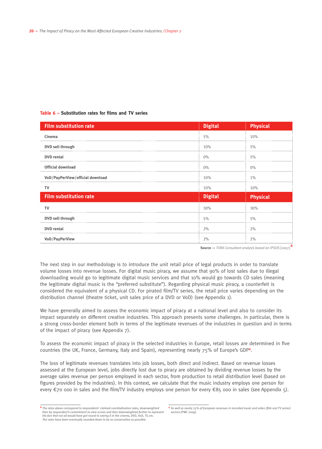#### **Table 6 – Substitution rates for films and TV series**

| <b>Film substitution rate</b>    | <b>Digital</b> | <b>Physical</b> |
|----------------------------------|----------------|-----------------|
| Cinema                           | 5%             | 10%             |
| DVD sell through                 | 10%            | 5%              |
| <b>DVD</b> rental                | $0\%$          | 5%              |
| <b>Official download</b>         | $0\%$          | $0\%$           |
| VoD/PayPerView/official download | 10%            | $1\%$           |
| TV                               | 10%            | 10%             |
| <b>Film substitution rate</b>    | <b>Digital</b> | <b>Physical</b> |
| TV                               | 30%            | 30%             |
| DVD sell through                 | 5%             | 5%              |
| <b>DVD</b> rental                | 2%             | 2%              |
| VoD/PayPerView                   | 2%             | 2%              |

**Source —** *TERA Consultant analysis based on IPSOS [2007]* **<sup>8</sup>**

The next step in our methodology is to introduce the unit retail price of legal products in order to translate volume losses into revenue losses. For digital music piracy, we assume that 90% of lost sales due to illegal downloading would go to legitimate digital music services and that 10% would go towards CD sales (meaning the legitimate digital music is the "preferred substitute"). Regarding physical music piracy, a counterfeit is considered the equivalent of a physical CD. For pirated film/TV series, the retail price varies depending on the distribution channel (theatre ticket, unit sales price of a DVD or VoD) (see Appendix 1).

We have generally aimed to assess the economic impact of piracy at a national level and also to consider its impact separately on different creative industries. This approach presents some challenges. In particular, there is a strong cross-border element both in terms of the legitimate revenues of the industries in question and in terms of the impact of piracy (see Appendix 7).

To assess the economic impact of piracy in the selected industries in Europe, retail losses are determined in five countries (the UK, France, Germany, Italy and Spain), representing nearly 75% of Europe's GDP**<sup>9</sup>** .

The loss of legitimate revenues translates into job losses, both direct and indirect. Based on revenue losses assessed at the European level, jobs directly lost due to piracy are obtained by dividing revenue losses by the average sales revenue per person employed in each sector, from production to retail distribution level (based on figures provided by the industries). In this context, we calculate that the music industry employs one person for every €70 000 in sales and the film/TV industry employs one person for every €85 000 in sales (see Appendix 5).

**<sup>8</sup>** *The rates above correspond to respondents' claimed cannibalisation rates, downweighted then by respondent's commitment to view scores and then downweighted further to represent the fact that not all would have got round to seeing it in the cinema, DVD, VoD, TV, etc. The rates have been eventually rounded down to be as conservative as possible.* 

**<sup>9</sup>** *As well as nearly 75% of European revenues in recorded music and video (film and TV series) sectors [PWC 2009].*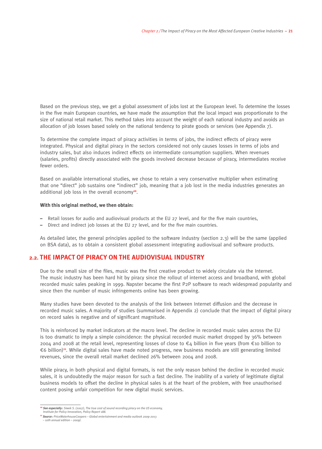Based on the previous step, we get a global assessment of jobs lost at the European level. To determine the losses in the five main European countries, we have made the assumption that the local impact was proportionate to the size of national retail market. This method takes into account the weight of each national industry and avoids an allocation of job losses based solely on the national tendency to pirate goods or services (see Appendix 7).

To determine the complete impact of piracy activities in terms of jobs, the indirect effects of piracy were integrated. Physical and digital piracy in the sectors considered not only causes losses in terms of jobs and industry sales, but also induces indirect effects on intermediate consumption suppliers. When revenues (salaries, profits) directly associated with the goods involved decrease because of piracy, intermediates receive fewer orders.

Based on available international studies, we chose to retain a very conservative multiplier when estimating that one "direct" job sustains one "indirect" job, meaning that a job lost in the media industries generates an additional job loss in the overall economy**10**.

#### **With this original method, we then obtain:**

- Retail losses for audio and audiovisual products at the EU 27 level, and for the five main countries,
- Direct and indirect job losses at the EU 27 level, and for the five main countries.

As detailed later, the general principles applied to the software industry (section 2.3) will be the same (applied on BSA data), as to obtain a consistent global assessment integrating audiovisual and software products.

#### **2.2. The impact of piracy on the audiovisual industry**

Due to the small size of the files, music was the first creative product to widely circulate via the Internet. The music industry has been hard hit by piracy since the rollout of internet access and broadband, with global recorded music sales peaking in 1999. Napster became the first P2P software to reach widespread popularity and since then the number of music infringements online has been growing.

Many studies have been devoted to the analysis of the link between Internet diffusion and the decrease in recorded music sales. A majority of studies (summarised in Appendix 2) conclude that the impact of digital piracy on record sales is negative and of significant magnitude.

This is reinforced by market indicators at the macro level. The decline in recorded music sales across the EU is too dramatic to imply a simple coincidence: the physical recorded music market dropped by 36% between 2004 and 2008 at the retail level, representing losses of close to €4 billion in five years (from €10 billion to €6 billion)**11**. While digital sales have made noted progress, new business models are still generating limited revenues, since the overall retail market declined 26% between 2004 and 2008.

While piracy, in both physical and digital formats, is not the only reason behind the decline in recorded music sales, it is undoubtedly the major reason for such a fast decline. The inability of a variety of legitimate digital business models to offset the decline in physical sales is at the heart of the problem, with free unauthorised content posing unfair competition for new digital music services.

**<sup>10</sup>** *See especially: Siwek S. (2007), The true cost of sound recording piracy on the US economy,* 

*Institute for Policy Innovation, Policy Report 188.*

**<sup>11</sup>** *Source: PriceWaterhouseCoopers – Global entertainment and media outlook 2009-2013 – 10th annual edition – 2009).*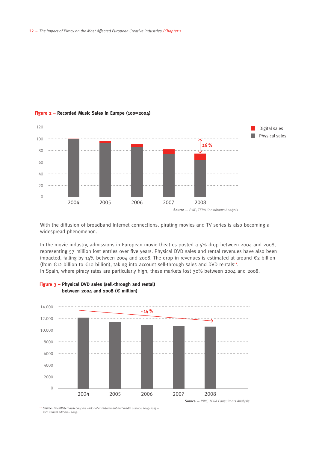

#### **Figure 2 – Recorded Music Sales in Europe (100=2004)**

With the diffusion of broadband Internet connections, pirating movies and TV series is also becoming a widespread phenomenon.

In the movie industry, admissions in European movie theatres posted a 5% drop between 2004 and 2008, representing 57 million lost entries over five years. Physical DVD sales and rental revenues have also been impacted, falling by 14% between 2004 and 2008. The drop in revenues is estimated at around €2 billion (from €12 billion to €10 billion), taking into account sell-through sales and DVD rentals**12**. In Spain, where piracy rates are particularly high, these markets lost 30% between 2004 and 2008.



#### **Figure 3 – Physical DVD sales (sell-through and rental) between 2004 and 2008 (**€ **million)**

**<sup>12</sup>** *Source: PriceWaterhouseCoopers – Global entertainment and media outlook 2009-2013 – 10th annual edition – 2009.*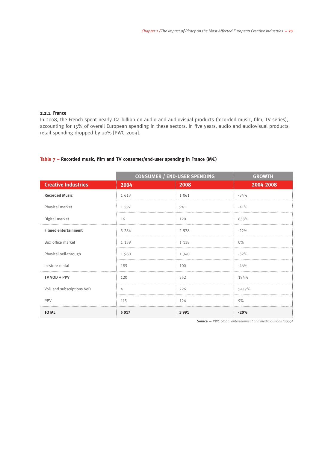#### **2.2.1. France**

In 2008, the French spent nearly €4 billion on audio and audiovisual products (recorded music, film, TV series), accounting for 15% of overall European spending in these sectors. In five years, audio and audiovisual products retail spending dropped by 20% [PWC 2009].

#### **Table 7 – Recorded music, film and TV consumer/end-user spending in France (M**€**)**

|                             | <b>CONSUMER / END-USER SPENDING</b> | <b>GROWTH</b> |           |
|-----------------------------|-------------------------------------|---------------|-----------|
| <b>Creative Industries</b>  | 2004                                | 2008          | 2004-2008 |
| <b>Recorded Music</b>       | 1 6 1 3                             | 1 0 6 1       | $-34%$    |
| Physical market             | 1 5 9 7                             | 941           | $-41%$    |
| Digital market              | 16                                  | 120           | 633%      |
| <b>Filmed entertainment</b> | 3 2 8 4                             | 2 5 7 8       | $-22%$    |
| Box office market           | 1 1 3 9                             | 1 1 3 8       | $0\%$     |
| Physical sell-through       | 1 960                               | 1 340         | $-32%$    |
| In-store rental             | 185                                 | 100           | $-46%$    |
| TV VOD + PPV                | 120                                 | 352           | 194%      |
| VoD and subscriptions VoD   | 4                                   | 226           | 5417%     |
| PPV                         | 115                                 | 126           | 9%        |
| <b>TOTAL</b>                | 5 0 1 7                             | 3 9 9 1       | $-20%$    |

**Source —** *PWC Global entertainment and media outlook [2009]*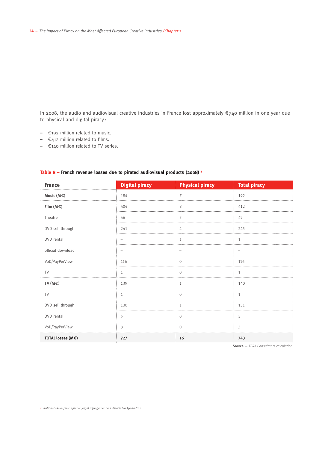In 2008, the audio and audiovisual creative industries in France lost approximately €740 million in one year due to physical and digital piracy :

- €192 million related to music.
- €412 million related to films.
- €140 million related to TV series.

| <b>France</b>     | <b>Digital piracy</b> | <b>Physical piracy</b> | <b>Total piracy</b> |
|-------------------|-----------------------|------------------------|---------------------|
| Music ( $M \in$ ) | 184                   | $\overline{7}$         | 192                 |
| Film $(M \in)$    | 404                   | 8                      | 412                 |
| Theatre           | 46                    | 3                      | 49                  |
| DVD sell through  | 241                   | 4                      | 245                 |
| DVD rental        |                       | 1                      | 1                   |
| official download |                       |                        |                     |
| VoD/PayPerView    | 116                   | $\overline{0}$         | 116                 |
| <b>TV</b>         | $\mathbf{1}$          | $\Omega$               | $\mathbf{1}$        |
| TV ( $M \in$ )    | 139                   | 1                      | 140                 |
| TV                | $\mathbf{1}$          | $\Omega$               | $\mathbf{1}$        |
| DVD sell through  | 130                   | 1                      | 131                 |
| DVD rental        | 5                     | $\Omega$               | 5                   |
| VoD/PayPerView    | 3                     | $\overline{0}$         | 3                   |
| TOTAL losses (M€) | 727                   | 16                     | 743                 |

#### Table 8 – French revenue losses due to pirated audiovisual products (2008)<sup>13</sup>

**Source —** *TERA Consultants calculation*

**<sup>13</sup>** *National assumptions for copyright infringement are detailed in Appendix 1.*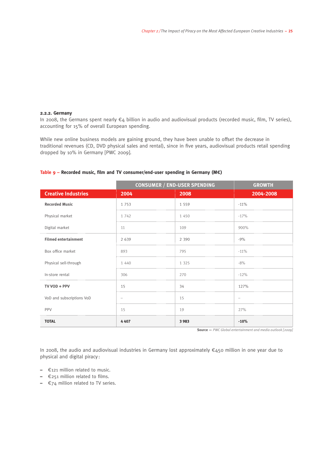#### **2.2.2. Germany**

In 2008, the Germans spent nearly €4 billion in audio and audiovisual products (recorded music, film, TV series), accounting for 15% of overall European spending.

While new online business models are gaining ground, they have been unable to offset the decrease in traditional revenues (CD, DVD physical sales and rental), since in five years, audiovisual products retail spending dropped by 10% in Germany [PWC 2009].

|                             | <b>CONSUMER / END-USER SPENDING</b> | <b>GROWTH</b> |           |
|-----------------------------|-------------------------------------|---------------|-----------|
| <b>Creative Industries</b>  | 2004                                | 2008          | 2004-2008 |
| <b>Recorded Music</b>       | 1 7 5 3                             | 1 5 5 9       | $-11%$    |
| Physical market             | 1 742                               | 1 450         | $-17%$    |
| Digital market              | 11                                  | 109           | 900%      |
| <b>Filmed entertainment</b> | 2 6 3 9                             | 2 3 9 0       | $-9%$     |
| Box office market           | 893                                 | 795           | $-11%$    |
| Physical sell-through       | 1 4 4 0                             | 1 3 2 5       | $-8%$     |
| In-store rental             | 306                                 | 270           | $-12%$    |
| TV VOD + PPV                | 15                                  | 34            | 127%      |
| VoD and subscriptions VoD   |                                     | 15            |           |
| PPV                         | 15                                  | 19            | 27%       |
| <b>TOTAL</b>                | 4407                                | 3 9 8 3       | $-10%$    |

#### **Table 9 – Recorded music, film and TV consumer/end-user spending in Germany (M**€**)**

**Source —** *PWC Global entertainment and media outlook [2009]* 

In 2008, the audio and audiovisual industries in Germany lost approximately €450 million in one year due to physical and digital piracy :

- €121 million related to music.
- €251 million related to films.
- €74 million related to TV series.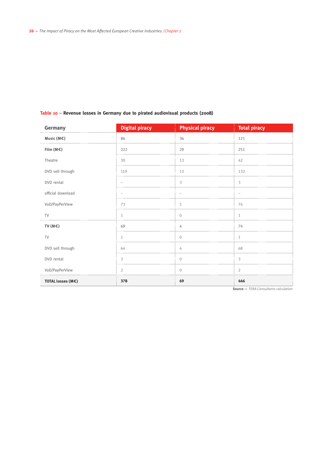#### **Table 10 – Revenue losses in Germany due to pirated audiovisual products (2008)**

| Germany           | <b>Digital piracy</b> | <b>Physical piracy</b>   | <b>Total piracy</b> |
|-------------------|-----------------------|--------------------------|---------------------|
| Music ( $M \in$ ) | 86                    | 36                       | 121                 |
| Film $(M \in)$    | 222                   | 29                       | 251                 |
| Theatre           | 30                    | 13                       | 42                  |
| DVD sell through  | 119                   | 13                       | 132                 |
| DVD rental        |                       | 3                        | 3                   |
| official download | $\sim$                | $\overline{\phantom{a}}$ | $\sim$              |
| VoD/PayPerView    | 73                    | 1                        | 74                  |
| <b>TV</b>         | 1                     | $\mathbf{0}$             | $\mathbf{1}$        |
| TV ( $M \in$ )    | 69                    | 4                        | 74                  |
| <b>TV</b>         | 1                     | $\mathbf{0}$             | 1                   |
| DVD sell through  | 64                    | 4                        | 68                  |
| DVD rental        | 3                     | $\mathbf{0}$             | 3                   |
| VoD/PayPerView    | $\overline{2}$        | $\Omega$                 | $\overline{2}$      |
| TOTAL losses (M€) | 378                   | 69                       | 446                 |

**Source —** *TERA Consultants calculation*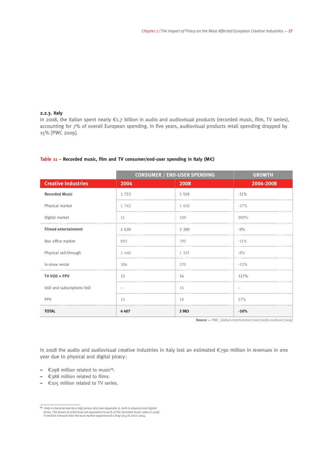#### **2.2.3. Italy**

In 2008, the Italian spent nearly €1.7 billion in audio and audiovisual products (recorded music, film, TV series), accounting for 7% of overall European spending. In five years, audiovisual products retail spending dropped by 15% [PWC 2009].

|                             | <b>CONSUMER / END-USER SPENDING</b> | <b>GROWTH</b> |           |
|-----------------------------|-------------------------------------|---------------|-----------|
| <b>Creative Industries</b>  | 2004                                | 2008          | 2004-2008 |
| <b>Recorded Music</b>       | 1 7 5 3                             | 1 5 5 9       | $-11%$    |
| Physical market             | 1 742                               | 1 450         | $-17%$    |
| Digital market              | 11                                  | 109           | 900%      |
| <b>Filmed entertainment</b> | 2 6 3 9                             | 2 3 9 0       | $-9%$     |
| Box office market           | 893                                 | 795           | $-11%$    |
| Physical sell-through       | 1 4 4 0                             | 1 3 2 5       | $-8%$     |
| In-store rental             | 306                                 | 270           | $-12%$    |
| TV VOD + PPV                | 15                                  | 34            | 127%      |
| VoD and subscriptions VoD   |                                     | 15            |           |
| PPV                         | 15                                  | 19            | 27%       |
| <b>TOTAL</b>                | 4407                                | 3 9 8 3       | $-10%$    |

#### **Table 11 – Recorded music, film and TV consumer/end-user spending in Italy (M**€**)**

**Source —** *PWC\_Global entertainment and media outlook [2009]*

In 2008 the audio and audiovisual creative industries in Italy lost an estimated €790 million in revenues in one year due to physical and digital piracy :

- €298 million related to music**14**.
- €388 million related to films.
- €105 million related to TV series.

**<sup>14</sup>** *Italy is characterised by a high piracy rate (see Appendix 1), both in physical and digital terms. The losses at retail level are equivalent to 92% of the recorded music sales in 2008. It shall be stressed that the local market experienced a drop of 41% since 2004.*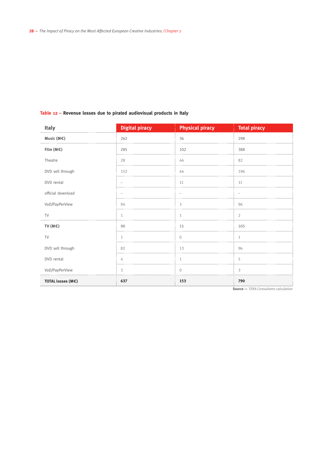#### **Table 12 – Revenue losses due to pirated audiovisual products in Italy**

| Italy             | <b>Digital piracy</b> | <b>Physical piracy</b> | <b>Total piracy</b> |
|-------------------|-----------------------|------------------------|---------------------|
| Music (M€)        | 262                   | 36                     | 298                 |
| Film $(M \in)$    | 285                   | 102                    | 388                 |
| Theatre           | 28                    | 44                     | 82                  |
| DVD sell through  | 152                   | 44                     | 196                 |
| DVD rental        |                       | 11                     | 11                  |
| official download |                       |                        |                     |
| VoD/PayPerView    | 94                    | 3                      | 96                  |
| TV                | $\mathbf{1}$          | 1                      | 2                   |
| TV ( $M \in$ )    | 90                    | 15                     | 105                 |
| TV                | 1                     | $\mathbf{0}$           | 1                   |
| DVD sell through  | 82                    | 13                     | 96                  |
| DVD rental        | 4                     | $\mathbf{1}$           | 5                   |
| VoD/PayPerView    | 3                     | $\Omega$               | 3                   |
| TOTAL losses (M€) | 637                   | 153                    | 790                 |

**Source —** *TERA Consultants calculation*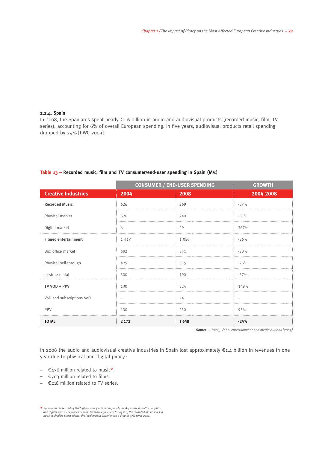#### **2.2.4. Spain**

In 2008, the Spaniards spent nearly €1.6 billion in audio and audiovisual products (recorded music, film, TV series), accounting for 6% of overall European spending. In five years, audiovisual products retail spending dropped by 24% [PWC 2009].

|                             | <b>CONSUMER / END-USER SPENDING</b> | <b>GROWTH</b> |           |
|-----------------------------|-------------------------------------|---------------|-----------|
| <b>Creative Industries</b>  | 2004                                | 2008          | 2004-2008 |
| <b>Recorded Music</b>       | 626                                 | 269           | $-57%$    |
| Physical market             | 620                                 | 240           | $-61%$    |
| Digital market              | 6                                   | 29            | 367%      |
| <b>Filmed entertainment</b> | 1 4 1 7                             | 1 0 5 6       | $-26%$    |
| Box office market           | 692                                 | 551           | $-20%$    |
| Physical sell-through       | 425                                 | 315           | $-26%$    |
| In-store rental             | 300                                 | 190           | $-37%$    |
| TV VOD + PPV                | 130                                 | 324           | 149%      |
| VoD and subscriptions VoD   |                                     | 74            |           |
| PPV                         | 130                                 | 250           | 93%       |
| <b>TOTAL</b>                | 2 1 7 3                             | 1648          | $-24%$    |

#### **Table 13 – Recorded music, film and TV consumer/end-user spending in Spain (M**€**)**

**Source —** *PWC\_Global entertainment and media outlook [2009]*

In 2008 the audio and audiovisual creative industries in Spain lost approximately €1.4 billion in revenues in one year due to physical and digital piracy :

- **–** €436 million related to music**15**.
- **–** €703 million related to films.
- **–** €218 million related to TV series.

**<sup>15</sup>** *Spain is characterised by the highest piracy rate in our panel (see Appendix 1), both in physical and digital terms. The losses at retail level are equivalent to 165% of the recorded music sales in 2008. It shall be stressed that the local market experienced a drop of 57% since 2004.*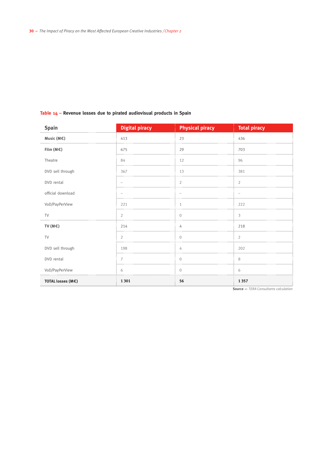#### **Table 14 – Revenue losses due to pirated audiovisual products in Spain**

| Spain             | <b>Digital piracy</b>    | <b>Physical piracy</b>   | <b>Total piracy</b> |
|-------------------|--------------------------|--------------------------|---------------------|
| Music ( $M \in$ ) | 413                      | 23                       | 436                 |
| Film ( $M \in$ )  | 675                      | 29                       | 703                 |
| Theatre           | 84                       | 12                       | 96                  |
| DVD sell through  | 367                      | 13                       | 381                 |
| DVD rental        |                          | 2                        | 2                   |
| official download | $\overline{\phantom{m}}$ | $\overline{\phantom{m}}$ | -                   |
| VoD/PayPerView    | 221                      | $\mathbf{1}$             | 222                 |
| TV                | $\overline{2}$           | $\mathbf{0}$             | 3                   |
| TV ( $M \in$ )    | 214                      | 4                        | 218                 |
| TV                | $\overline{2}$           | $\overline{0}$           | $\overline{2}$      |
| DVD sell through  | 198                      | 4                        | 202                 |
| DVD rental        | $\overline{7}$           | $\mathbf{0}$             | 8                   |
| VoD/PayPerView    | 6                        | $\overline{0}$           | 6                   |
| TOTAL losses (M€) | 1 3 0 1                  | 56                       | 1 3 5 7             |

**Source —** *TERA Consultants calculation*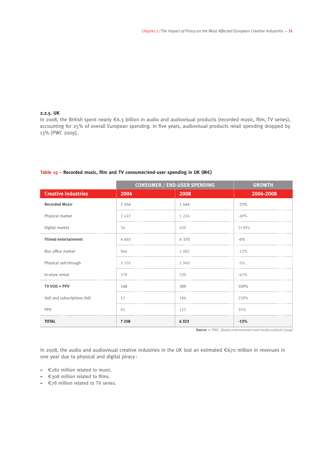#### **2.2.5. UK**

In 2008, the British spent nearly €6.3 billion in audio and audiovisual products (recorded music, film, TV series), accounting for 25% of overall European spending. In five years, audiovisual products retail spending dropped by 13% [PWC 2009].

|                             | <b>CONSUMER / END-USER SPENDING</b> | <b>GROWTH</b> |           |
|-----------------------------|-------------------------------------|---------------|-----------|
| <b>Creative Industries</b>  | 2004                                | 2008          | 2004-2008 |
| <b>Recorded Music</b>       | 2 4 5 6                             | 1 644         | $-33%$    |
| Physical market             | 2 4 2 2                             | 1 2 2 4       | $-49%$    |
| Digital market              | 34                                  | 420           | 1130%     |
| <b>Filmed entertainment</b> | 4 6 5 5                             | 4 3 7 0       | $-6%$     |
| Box office market           | 966                                 | 1 0 8 2       | $-12%$    |
| Physical sell-through       | 3 1 1 0                             | 2 9 4 9       | $-5%$     |
| In-store rental             | 579                                 | 339           | $-41%$    |
| TV VOD + PPV                | 148                                 | 309           | 109%      |
| VoD and subscriptions VoD   | 57                                  | 186           | 228%      |
| PPV                         | 91                                  | 123           | 35%       |
| <b>TOTAL</b>                | 7 2 5 8                             | 6323          | $-13%$    |

#### **Table 15 – Recorded music, film and TV consumer/end-user spending in UK (M**€**)**

**Source —** *PWC\_Global entertainment and media outlook [2009]*

In 2008, the audio and audiovisual creative industries in the UK lost an estimated €670 million in revenues in one year due to physical and digital piracy :

- **–** €282 million related to music.
- **–** €308 million related to films.
- **–** €78 million related to TV series.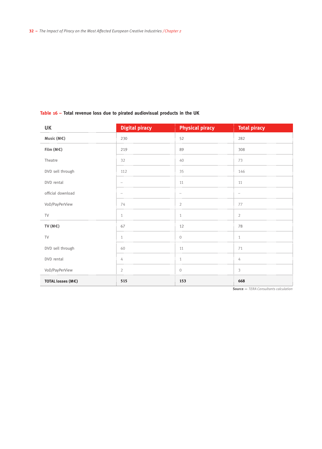| rable 10 – rotal revenue loss que lo pirale da autovisual products in the UK |                       |                          |                     |  |  |
|------------------------------------------------------------------------------|-----------------------|--------------------------|---------------------|--|--|
| UK                                                                           | <b>Digital piracy</b> | <b>Physical piracy</b>   | <b>Total piracy</b> |  |  |
| Music ( $M \in$ )                                                            | 230                   | 52                       | 282                 |  |  |
| Film $(M \in)$                                                               | 219                   | 89                       | 308                 |  |  |
| Theatre                                                                      | 32                    | 40                       | 73                  |  |  |
| DVD sell through                                                             | 112                   | 35                       | 146                 |  |  |
| DVD rental                                                                   |                       | 11                       | 11                  |  |  |
| official download                                                            |                       | $\overline{\phantom{a}}$ |                     |  |  |
| VoD/PayPerView                                                               | 74                    | 2                        | 77                  |  |  |
| TV                                                                           | $\mathbf{1}$          | 1                        | $\overline{2}$      |  |  |
| TV ( $M \in$ )                                                               | 67                    | 12                       | 78                  |  |  |
| TV                                                                           | $\mathbf{1}$          | $\mathbf{0}$             | $\mathbf{1}$        |  |  |
| DVD sell through                                                             | 60                    | 11                       | 71                  |  |  |
| DVD rental                                                                   | 4                     | $\mathbf{1}$             | 4                   |  |  |
| VoD/PayPerView                                                               | $\overline{2}$        | $\mathbf{0}$             | 3                   |  |  |
| TOTAL losses (M€)                                                            | 515                   | 153                      | 668                 |  |  |

#### **Table 16 – Total revenue loss due to pirated audiovisual products in the UK**

**Source —** *TERA Consultants calculation*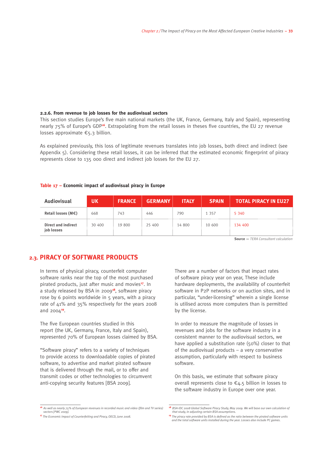#### **2.2.6. From revenue to job losses for the audiovisual sectors**

This section studies Europe's five main national markets (the UK, France, Germany, Italy and Spain), representing nearly 75% of Europe's GDP<sup>16</sup>. Extrapolating from the retail losses in theses five countries, the EU 27 revenue losses approximate €5.3 billion.

As explained previously, this loss of legitimate revenues translates into job losses, both direct and indirect (see Appendix 5). Considering these retail losses, it can be inferred that the estimated economic fingerprint of piracy represents close to 135 000 direct and indirect job losses for the EU 27.

#### **Table 17 – Economic impact of audiovisual piracy in Europe**

| <b>Audiovisual</b>                | UК     | <b>FRANCE</b> | <b>GERMANY</b> | <b>ITALY</b> | <b>SPAIN</b> | <b>TOTAL PIRACY IN EU27</b> |
|-----------------------------------|--------|---------------|----------------|--------------|--------------|-----------------------------|
| Retail losses ( $M \in$ )         | 668    | 743           | 446            | 790          | 1 3 5 7      | 5 3 4 0                     |
| Direct and indirect<br>job losses | 30 400 | 19 800        | 25 400         | 14 800       | 10 600       | 134 400                     |

**Source —** *TERA Consultant calculation*

#### **2.3. Piracy of software products**

In terms of physical piracy, counterfeit computer software ranks near the top of the most purchased pirated products, just after music and movies**17**. In a study released by BSA in 2009**18**, software piracy rose by 6 points worldwide in 5 years, with a piracy rate of 41% and 35% respectively for the years 2008 and 2004**19**.

The five European countries studied in this report (the UK, Germany, France, Italy and Spain), represented 70% of European losses claimed by BSA.

"Software piracy" refers to a variety of techniques to provide access to downloadable copies of pirated software, to advertise and market pirated software that is delivered through the mail, or to offer and transmit codes or other technologies to circumvent anti-copying security features [BSA 2009].

There are a number of factors that impact rates of software piracy year on year, These include hardware deployments, the availability of counterfeit software in P2P networks or on auction sites, and in particular, "under-licensing" wherein a single license is utilised across more computers than is permitted by the license.

In order to measure the magnitude of losses in revenues and jobs for the software industry in a consistent manner to the audiovisual sectors, we have applied a substitution rate (50%) closer to that of the audiovisual products  $-$  a very conservative assumption, particularly with respect to business software.

On this basis, we estimate that software piracy overall represents close to  $\epsilon$ 4.5 billion in losses to the software industry in Europe over one year.

**<sup>16</sup>** *As well as nearly 75% of European revenues in recorded music and video (film and TV series) sectors [PWC 2009].*

**<sup>18</sup>** *BSA-IDC 2008 Global Software Piracy Study, May 2009. We will base our own calculation of that study, in adjusting certain BSA assumptions.*

**<sup>17</sup>** *The Economic Impact of Counterfeiting and Piracy, OECD, June 2008.* 

**<sup>19</sup>** *The piracy rate provided by BSA is defined as the ratio between the pirated software units and the total software units installed during the year. Losses also include PC games.*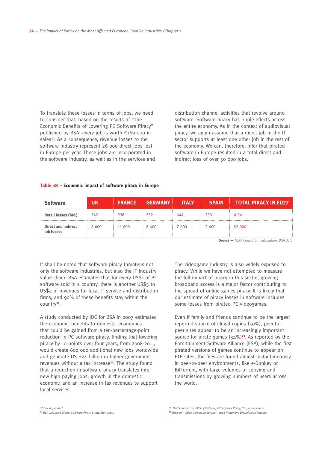To translate these losses in terms of jobs, we need to consider that, based on the results of "The Economic Benefits of Lowering PC Software Piracy" published by BSA, every job is worth €169 000 in sales<sup>20</sup>. As a consequence, revenue losses to the software industry represent 26 000 direct jobs lost in Europe per year. These jobs are incorporated in the software industry, as well as in the services and

distribution channel activities that revolve around software. Software piracy has ripple effects across the entire economy. As in the context of audiovisual piracy, we again assume that a direct job in the IT sector supports at least one other job in the rest of the economy. We can, therefore, infer that pirated software in Europe resulted in a total direct and indirect loss of over 50 000 jobs.

#### **Table 18 – Economic impact of software piracy in Europe**

| <b>Software</b>                          | 'UΚ   | <b>FRANCE</b> | <b>GERMANY</b> | <b>ITALY</b> | <b>SPAIN</b> | <b>TOTAL PIRACY IN EU27</b> |
|------------------------------------------|-------|---------------|----------------|--------------|--------------|-----------------------------|
| Retail losses ( $M \in \mathcal{C}$ )    | 742   | 938           | 732            | 644          | 350          | 4 5 4 1                     |
| <b>Direct and indirect</b><br>iob losses | 8 600 | 11 600        | 8 600          | 7 600        | 2 600        | 52 000                      |

**Source —** *TERA Consultant calculation, BSA data*

It shall be noted that software piracy threatens not only the software industries, but also the IT industry value chain. BSA estimates that for every US\$1 of PC software sold in a country, there is another US\$3 to US\$4 of revenues for local IT service and distribution firms, and 90% of these benefits stay within the country**21**.

A study conducted by IDC for BSA in 2007 estimated the economic benefits to domestic economies that could be gained from a ten-percentage-point reduction in PC software piracy, finding that lowering piracy by 10 points over four years, from 2008-2011, would create 600 000 additional new jobs worldwide and generate US \$24 billion in higher government revenues without a tax increase**22**. The study found that a reduction in software piracy translates into new high paying jobs, growth in the domestic economy, and an increase in tax revenues to support local services.

The videogame industry is also widely exposed to piracy. While we have not attempted to measure the full impact of piracy in this sector, growing broadband access is a major factor contributing to the spread of online games piracy. It is likely that our estimate of piracy losses in software includes some losses from pirated PC videogames.

Even if family and friends continue to be the largest reported source of illegal copies (50%), peer-topeer sites appear to be an increasingly important source for pirate games (34%)**23**. As reported by the Entertainment Software Alliance (ESA), while the first pirated versions of games continue to appear on FTP sites, the files are found almost instantaneously in peer-to-peer environments, like e-Donkey or BitTorrent, with large volumes of copying and transmissions by growing numbers of users across the world.

**<sup>20</sup>** *See Appendix 6.*

**<sup>21</sup>** *BSA-IDC 2008 Global Software Piracy Study, May 2009.*

**<sup>22</sup>** *The Economic Benefits of Reducing PC Software Piracy, IDC, January 2008.* **<sup>23</sup>** *Nielsen – Video Gamers in Europe – 2008 Piracy and Digital Downloading.*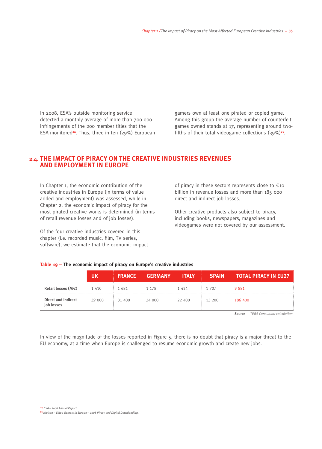In 2008, ESA's outside monitoring service detected a monthly average of more than 700 000 infringements of the 200 member titles that the ESA monitored**24**. Thus, three in ten (29%) European

gamers own at least one pirated or copied game. Among this group the average number of counterfeit games owned stands at 17, representing around twofifths of their total videogame collections (39%)**25**.

#### **2.4. The Impact of piracy on the creative industries revenues and employment in Europe**

In Chapter 1, the economic contribution of the creative industries in Europe (in terms of value added and employment) was assessed, while in Chapter 2, the economic impact of piracy for the most pirated creative works is determined (in terms of retail revenue losses and of job losses).

Of the four creative industries covered in this chapter (i.e. recorded music, film, TV series, software), we estimate that the economic impact

**Table 19 – The economic impact of piracy on Europe's creative industries**

of piracy in these sectors represents close to  $\epsilon$ 10 billion in revenue losses and more than 185 000 direct and indirect job losses.

Other creative products also subject to piracy, including books, newspapers, magazines and videogames were not covered by our assessment.

#### **UK FRANCE GERMANY ITALY SPAIN TOTAL PIRACY IN EU27 Retail losses (M€)** 1 410 1 681 1 178 1 434 1 707 9 881 **Direct and indirect job losses** 39 000 31 400 34 000 22 400 13 200 186 400

**Source —** *TERA Consultant calculation*

In view of the magnitude of the losses reported in Figure 5, there is no doubt that piracy is a major threat to the EU economy, at a time when Europe is challenged to resume economic growth and create new jobs.

**<sup>24</sup>** *ESA – 2008 Annual Report.*

**<sup>25</sup>** *Nielsen – Video Gamers in Europe – 2008 Piracy and Digital Downloading.*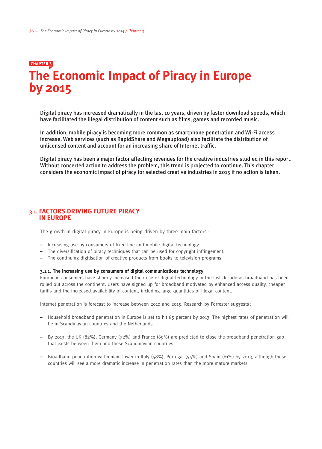## **The Economic Impact of Piracy in Europe by 2015 chapter 3**

Digital piracy has increased dramatically in the last 10 years, driven by faster download speeds, which have facilitated the illegal distribution of content such as films, games and recorded music.

In addition, mobile piracy is becoming more common as smartphone penetration and Wi-Fi access increase. Web services (such as RapidShare and Megaupload) also facilitate the distribution of unlicensed content and account for an increasing share of Internet traffic.

Digital piracy has been a major factor affecting revenues for the creative industries studied in this report. Without concerted action to address the problem, this trend is projected to continue. This chapter considers the economic impact of piracy for selected creative industries in 2015 if no action is taken.

#### **3.1. Factors driving future piracy in Europe**

The growth in digital piracy in Europe is being driven by three main factors :

- Increasing use by consumers of fixed-line and mobile digital technology.
- The diversification of piracy techniques that can be used for copyright infringement.
- The continuing digitisation of creative products from books to television programs.

#### **3.1.1. The increasing use by consumers of digital communications technology**

European consumers have sharply increased their use of digital technology in the last decade as broadband has been rolled out across the continent. Users have signed up for broadband motivated by enhanced access quality, cheaper tariffs and the increased availability of content, including large quantities of illegal content.

Internet penetration is forecast to increase between 2010 and 2015. Research by Forrester suggests :

- Household broadband penetration in Europe is set to hit 85 percent by 2013. The highest rates of penetration will be in Scandinavian countries and the Netherlands.
- By 2013, the UK (82%), Germany (72%) and France (69%) are predicted to close the broadband penetration gap that exists between them and these Scandinavian countries.
- Broadband penetration will remain lower in Italy (58%), Portugal (55%) and Spain (61%) by 2013, although these countries will see a more dramatic increase in penetration rates than the more mature markets.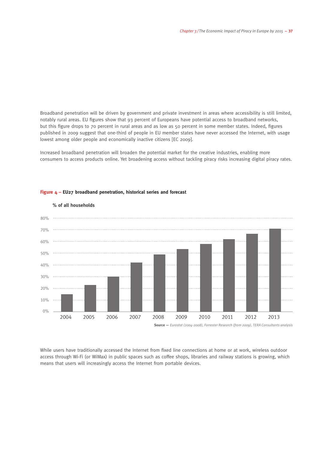Broadband penetration will be driven by government and private investment in areas where accessibility is still limited, notably rural areas. EU figures show that 93 percent of Europeans have potential access to broadband networks, but this figure drops to 70 percent in rural areas and as low as 50 percent in some member states. Indeed, figures published in 2009 suggest that one-third of people in EU member states have never accessed the Internet, with usage lowest among older people and economically inactive citizens [EC 2009].

Increased broadband penetration will broaden the potential market for the creative industries, enabling more consumers to access products online. Yet broadening access without tackling piracy risks increasing digital piracy rates.



#### **Figure 4 – EU27 broadband penetration, historical series and forecast**

While users have traditionally accessed the Internet from fixed line connections at home or at work, wireless outdoor access through Wi-Fi (or WiMax) in public spaces such as coffee shops, libraries and railway stations is growing, which means that users will increasingly access the Internet from portable devices.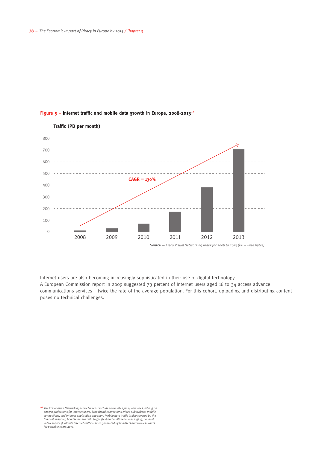

#### **Figure 5 – Internet traffic and mobile data growth in Europe, 2008-201326**

Internet users are also becoming increasingly sophisticated in their use of digital technology. A European Commission report in 2009 suggested 73 percent of Internet users aged 16 to 34 access advance communications services – twice the rate of the average population. For this cohort, uploading and distributing content poses no technical challenges.

**<sup>26</sup>** *The Cisco Visual Networking Index Forecast includes estimates for 14 countries, relying on analyst projections for Internet users, broadband connections, video subscribers, mobile connections, and Internet application adoption. Mobile data traffic is also covered by the forecast including handset-based data traffic (text and multimedia messaging, handset video services). Mobile Internet traffic is both generated by handsets and wireless cards for portable computers.*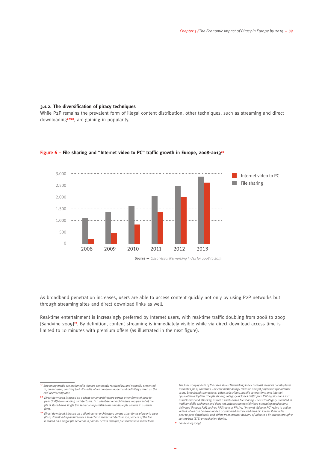#### **3.1.2. The diversification of piracy techniques**

While P2P remains the prevalent form of illegal content distribution, other techniques, such as streaming and direct downloading**27/28**, are gaining in popularity.



#### Figure 6 – File sharing and "Internet video to PC" traffic growth in Europe, 2008-2013<sup>29</sup>

**Source —** *Cisco Visual Networking Index for 2008 to 2013*

As broadband penetration increases, users are able to access content quickly not only by using P2P networks but through streaming sites and direct download links as well.

Real-time entertainment is increasingly preferred by Internet users, with real-time traffic doubling from 2008 to 2009 [Sandvine 2009]**30**. By definition, content streaming is immediately visible while via direct download access time is limited to 10 minutes with premium offers (as illustrated in the next figure).

**<sup>27</sup>** *Streaming media are multimedia that are constantly received by, and normally presented to, an end-user, contrary to P2P media which are downloaded and definitely stored on the end-user's computer.*

**<sup>28</sup>** *Direct download is based on a client-server architecture versus other forms of peer-topeer (P2P) downloading architectures. In a client-server architecture 100 percent of the file is stored on a single file server or in parallel across multiple file servers in a server farm.*

**<sup>29</sup>** *Direct download is based on a client-server architecture versus other forms of peer-to-peer (P2P) downloading architectures. In a client-server architecture 100 percent of the file is stored on a single file server or in parallel across multiple file servers in a server farm.*

*The June 2009 update of the Cisco Visual Networking Index Forecast includes country-level*  estimates for 14 countries. The core methodology relies on analyst projections for Interne *users, broadband connections, video subscribers, mobile connections, and Internet application adoption. The file sharing category includes traffic from P2P applications such as BitTorrent and eDonkey, as well as web-based file sharing. The P2P category is limited to traditional file exchange and does not include commercial video-streaming applications delivered through P2P, such as PPStream or PPLive. "Internet Video to PC" refers to online videos which can be downloaded or streamed and viewed on a PC screen. It excludes peer-to-peer downloads, and differs from Internet-delivery of video to a TV screen through a set-top box (STB) or equivalent device.*

**<sup>30</sup>** *Sandevine [2009].*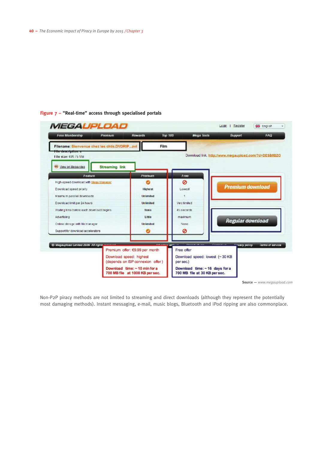#### **Figure 7 – "Real-time" access through specialised portals**



**Source —** *www.megaupload.com*

Non-P2P piracy methods are not limited to streaming and direct downloads (although they represent the potentially most damaging methods). Instant messaging, e-mail, music blogs, Bluetooth and iPod ripping are also commonplace.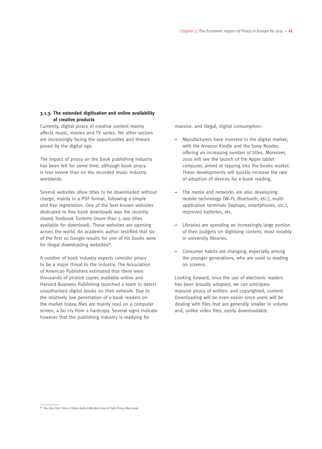#### **3.1.3. The extended digitisation and online availability of creative products**

Currently, digital piracy of creative content mainly affects music, movies and TV series. Yet other sectors are increasingly facing the opportunities and threats posed by the digital age.

The impact of piracy on the book publishing industry has been felt for some time, although book piracy is less severe than on the recorded music industry worldwide.

Several websites allow titles to be downloaded without charge, mainly in a PDF format, following a simple and free registration. One of the best-known websites dedicated to free book downloads was the recently closed Textbook Torrents (more than 5 000 titles available for download). These websites are opening across the world. An academic author testified that six of the first 10 Google results for one of his books were for illegal downloading websites**31**.

A number of book industry experts consider piracy to be a major threat to the industry. The Association of American Publishers estimated that there were thousands of pirated copies available online and Harvard Business Publishing launched a team to detect unauthorised digital books on their network. Due to the relatively low penetration of e-book readers on the market today, files are mainly read on a computer screen, a far cry from a hardcopy. Several signs indicate however that the publishing industry is readying for

massive, and illegal, digital consumption:

- Manufacturers have invested in the digital market, with the Amazon Kindle and the Sony Reader, offering an increasing number of titles. Moreover, 2010 will see the launch of the Apple tablet computer, aimed at tapping into the books market. These developments will quickly increase the rate of adoption of devices for e-book reading.
- The media and networks are also developing: mobile technology (Wi-Fi, Bluetooth, etc.), multiapplication terminals (laptops, smartphones, etc.), improved batteries, etc.
- Libraries are spending an increasingly large portion of their budgets on digitising content, most notably in university libraries.
- Consumer habits are changing, especially among the younger generations, who are used to reading on screens.

Looking forward, once the use of electronic readers has been broadly adopted, we can anticipate massive piracy of written, and copyrighted, content. Downloading will be even easier since users will be dealing with files that are generally smaller in volume and, unlike video files, easily downloadable.

**<sup>31</sup>** *The New York Times, A Book Author Wonders How to Fight Piracy, May 2009.*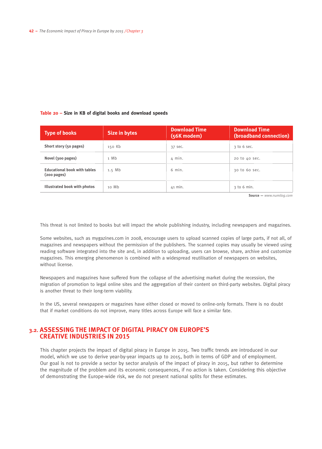#### **Table 20 – Size in KB of digital books and download speeds**

| <b>Type of books</b>                                         | Size in bytes | <b>Download Time</b><br>(56K modem) | <b>Download Time</b><br>(broadband connection) |
|--------------------------------------------------------------|---------------|-------------------------------------|------------------------------------------------|
| Short story (50 pages)                                       | 150 Kb        | 37 sec.                             | 3 to 6 sec.                                    |
| Novel (300 pages)                                            | 1 Mh          | $\Delta$ min.                       | 20 to 40 sec.                                  |
| <b>Educational book with tables</b><br>$(200 \text{ pages})$ | 1.5 Mb        | $6$ min.                            | 30 to 60 sec.                                  |
| Illustrated book with photos                                 | 10 Mb         | 41 min.                             | 3 to 6 min.                                    |

**Source —** *www.numilog.com*

This threat is not limited to books but will impact the whole publishing industry, including newspapers and magazines.

Some websites, such as mygazines.com in 2008, encourage users to upload scanned copies of large parts, if not all, of magazines and newspapers without the permission of the publishers. The scanned copies may usually be viewed using reading software integrated into the site and, in addition to uploading, users can browse, share, archive and customize magazines. This emerging phenomenon is combined with a widespread reutilisation of newspapers on websites, without license.

Newspapers and magazines have suffered from the collapse of the advertising market during the recession, the migration of promotion to legal online sites and the aggregation of their content on third-party websites. Digital piracy is another threat to their long-term viability.

In the US, several newspapers or magazines have either closed or moved to online-only formats. There is no doubt that if market conditions do not improve, many titles across Europe will face a similar fate.

#### **3.2. Assessing the impact of digital piracy on Europe's creative industries in 2015**

This chapter projects the impact of digital piracy in Europe in 2015. Two traffic trends are introduced in our model, which we use to derive year-by-year impacts up to 2015, both in terms of GDP and of employment. Our goal is not to provide a sector by sector analysis of the impact of piracy in 2015, but rather to determine the magnitude of the problem and its economic consequences, if no action is taken. Considering this objective of demonstrating the Europe-wide risk, we do not present national splits for these estimates.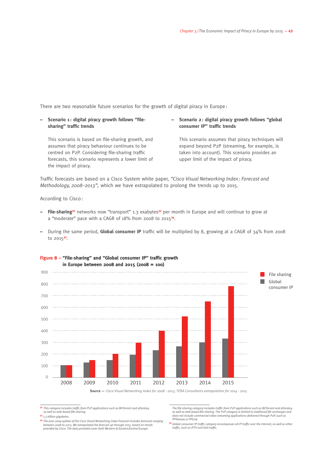There are two reasonable future scenarios for the growth of digital piracy in Europe :

**– Scenario 1 : digital piracy growth follows "filesharing" traffic trends**

This scenario is based on file-sharing growth, and assumes that piracy behaviour continues to be centred on P2P. Considering file-sharing traffic forecasts, this scenario represents a lower limit of the impact of piracy.

#### **– Scenario 2: digital piracy growth follows "global consumer IP" traffic trends**

This scenario assumes that piracy techniques will expand beyond P2P (streaming, for example, is taken into account). This scenario provides an upper limit of the impact of piracy.

Traffic forecasts are based on a Cisco System white paper, *"Cisco Visual Networking Index : Forecast and Methodology, 2008–2013",* which we have extrapolated to prolong the trends up to 2015.

According to Cisco:

- **File-sharing32** networks now "transport" 1.3 exabytes**33** per month in Europe and will continue to grow at a "moderate" pace with a CAGR of 18% from 2008 to 2015**34**.
- **–** During the same period, **Global consumer IP** traffic will be multiplied by 8, growing at a CAGR of 34% from 2008 to 2015**35**.



**Figure 8 – "File-sharing" and "Global consumer IP" traffic growth in Europe between 2008 and 2015 (2008 = 100)**

**<sup>32</sup>** *This category includes traffic from P2P applications such as BitTorrent and eDonkey, as well as web-based file sharing.*

**Source —** *Cisco Visual Networking Index for 2008 - 2013, TERA Consultants extrapolation for 2014 - 2015*

**<sup>33</sup>** *1.3 billion gigabytes.* 

**<sup>34</sup>** *The June 2009 update of the Cisco Visual Networking Index Forecast includes forecasts ranging between 2008 to 2013. We extrapolated the forecast up through 2015, based on trends provided by Cisco. The data provided cover both Western & Eastern/Central Europe.*

*The file sharing category includes traffic from P2P applications such as BitTorrent and eDonkey, as well as web-based file sharing. The P2P category is limited to traditional file exchanges and does not include commercial video-streaming applications delivered through P2P, such as PPStream or PPLive.*

**<sup>35</sup>** *Global consumer IP traffic category encompasses all IP traffic over the Internet, as well as other traffic, such as IPTV and VoD traffic.*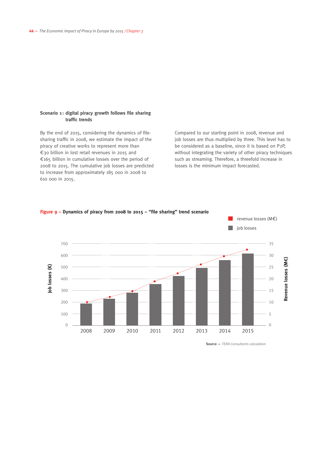#### **Scenario 1 : digital piracy growth follows file sharing traffic trends**

By the end of 2015, considering the dynamics of filesharing traffic in 2008, we estimate the impact of the piracy of creative works to represent more than €30 billion in lost retail revenues in 2015 and €165 billion in cumulative losses over the period of 2008 to 2015. The cumulative job losses are predicted to increase from approximately 185 000 in 2008 to 610 000 in 2015.

Compared to our starting point in 2008, revenue and job losses are thus multiplied by three. This level has to be considered as a baseline, since it is based on P2P, without integrating the variety of other piracy techniques such as streaming. Therefore, a threefold increase in losses is the minimum impact forecasted.



#### **Figure 9 – Dynamics of piracy from 2008 to 2015 – "file sharing" trend scenario**

**Source —** *TERA Consultants calculation*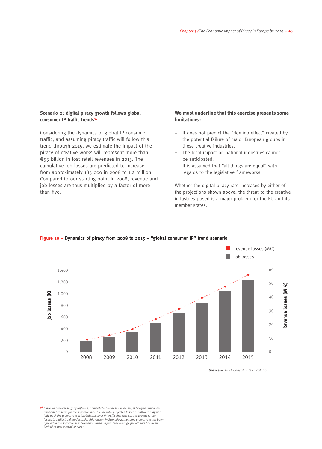#### **Scenario 2: digital piracy growth follows global consumer IP traffic trends36**

Considering the dynamics of global IP consumer traffic, and assuming piracy traffic will follow this trend through 2015, we estimate the impact of the piracy of creative works will represent more than €55 billion in lost retail revenues in 2015. The cumulative job losses are predicted to increase from approximately 185 000 in 2008 to 1.2 million. Compared to our starting point in 2008, revenue and job losses are thus multiplied by a factor of more than five.

#### **We must underline that this exercise presents some limitations :**

- It does not predict the "domino effect" created by the potential failure of major European groups in these creative industries.
- The local impact on national industries cannot be anticipated.
- It is assumed that "all things are equal" with regards to the legislative frameworks.

Whether the digital piracy rate increases by either of the projections shown above, the threat to the creative industries posed is a major problem for the EU and its member states.



#### **Figure 10 – Dynamics of piracy from 2008 to 2015 – "global consumer IP" trend scenario**

**Source —** *TERA Consultants calculation*

**<sup>36</sup>** *Since 'under-licensing' of software, primarily by business customers, is likely to remain an important concern for the software industry, the total projected losses in software may not fully track the growth rate in 'global consumer IP' traffic that was used to project future losses in audiovisual products. For this reason, in Scenario 2, the same growth rate has been applied to the software as in Scenario 1 (meaning that the average growth rate has been limited to 18% instead of 34%).*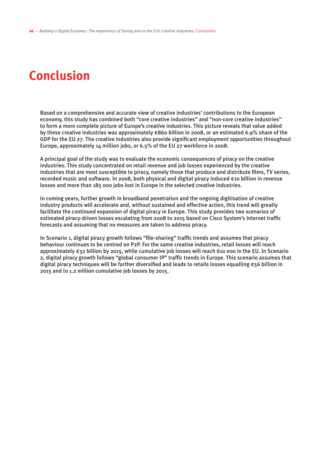# **Conclusion**

Based on a comprehensive and accurate view of creative industries' contributions to the European economy, this study has combined both "core creative industries" and "non-core creative industries" to form a more complete picture of Europe's creative industries. This picture reveals that value added by these creative industries was approximately €860 billion in 2008, or an estimated 6.9% share of the GDP for the EU 27. The creative industries also provide significant employment opportunities throughout Europe, approximately 14 million jobs, or 6.5% of the EU 27 workforce in 2008.

A principal goal of the study was to evaluate the economic consequences of piracy on the creative industries. This study concentrated on retail revenue and job losses experienced by the creative industries that are most susceptible to piracy, namely those that produce and distribute films, TV series, recorded music and software. In 2008, both physical and digital piracy induced €10 billion in revenue losses and more than 185 000 jobs lost in Europe in the selected creative industries.

In coming years, further growth in broadband penetration and the ongoing digitisation of creative industry products will accelerate and, without sustained and effective action, this trend will greatly facilitate the continued expansion of digital piracy in Europe. This study provides two scenarios of estimated piracy-driven losses escalating from 2008 to 2015 based on Cisco System's Internet traffic forecasts and assuming that no measures are taken to address piracy.

In Scenario 1, digital piracy growth follows "file-sharing" traffic trends and assumes that piracy behaviour continues to be centred on P2P. For the same creative industries, retail losses will reach approximately €32 billion by 2015, while cumulative job losses will reach 610 000 in the EU. In Scenario 2, digital piracy growth follows "global consumer IP" traffic trends in Europe. This scenario assumes that digital piracy techniques will be further diversified and leads to retails losses equalling €56 billion in 2015 and to 1.2 million cumulative job losses by 2015.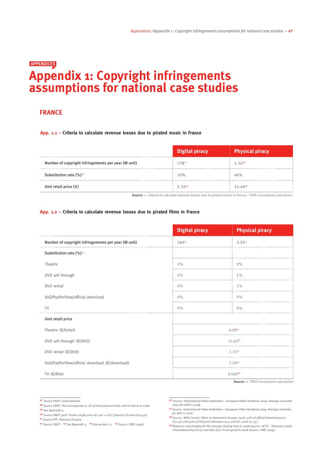### **Appendix 1: Copyright infringements assumptions for national case studies Appendices**

#### **FRANCE**

#### **App. 1.1 – Criteria to calculate revenue losses due to pirated music in France**

|                                                     | Digital piracy | <b>Physical piracy</b> |
|-----------------------------------------------------|----------------|------------------------|
| Number of copyright infringements per year (M unit) | 77837          | $1.10^{38}$            |
| Substitution rate $(\%)^{39}$                       | 10%            | 46%                    |
| Unit retail price $(\epsilon)$                      | 2.3440         | 14.4041                |

**Source —** *Criteria to calculate revenue losses due to pirated music in France: TERA Consultants calculation*

#### **App. 1.2 – Criteria to calculate revenue losses due to pirated films in France**

|                                                     | <b>Digital piracy</b> | <b>Physical piracy</b> |
|-----------------------------------------------------|-----------------------|------------------------|
| Number of copyright infringements per year (M unit) | 16442                 | 5.2543                 |
| Substitution rate (%)44                             |                       |                        |
| Theatre                                             | 5%                    | 9%                     |
| DVD sell through                                    | 9%                    | 5%                     |
| DVD rental                                          | $0\%$                 | 5%                     |
| VoD/PayPerView/official download                    | 9%                    | $0\%$                  |
| <b>TV</b>                                           | 9%                    | 9%                     |
| Unit retail price                                   |                       |                        |
| Theatre $(E/ticket)$                                |                       | 6.0045                 |
| DVD sell through (€/DVD)                            |                       | 15.6346                |
| DVD rental (€/DVD)                                  |                       | 2.7247                 |
| VoD/PayPerView/official download (€/download)       |                       | 7.5048                 |
| TV $(\epsilon/\mathrm{film})$                       |                       | 0.06949                |

**Source —** *TERA Consultants calculation*

**<sup>37</sup>** *Source SNEP. 2008 estimate.* 

**<sup>38</sup>** *Source SNEP. This corresponds to 2% of total physical units sold in France in 2008.*  **<sup>39</sup>** *See Appendix 2.*

**<sup>40</sup>** *Source SNEP. 90% \*online single price (*€*1.00) + 10%\* physical CD price (€14.40)* **<sup>41</sup>** *Source IFPI. Physical CD price.* 

**<sup>42</sup>** *Source SNEP.* **<sup>43</sup>** *See Appendix 3.* **<sup>44</sup>** *See section 2.1.* **<sup>45</sup>** *Source: PWC [2009].*

**<sup>46</sup>** *Source: International Video Federation – European Video Yearbook 2009. Average consumer price for DVD in 2008.* 

**<sup>47</sup>** *Source : International Video Federation – European Video Yearbook 2009. Average rental fee for DVD in 2008.*

**<sup>48</sup>** *Source: NPA Conseil, Video on Demand in Europe, 2008. 50% of official download price (€7.50) and 50% of VoD price (between €1.5 and €6: used €3.75).* 

**<sup>49</sup>** *Based on 209 min/day for the average viewing time in 2008 (source: ACTE – Television 2008, International Key Facts) and M€2.870 TV ad spend in 2008 (source : PWC 2009).*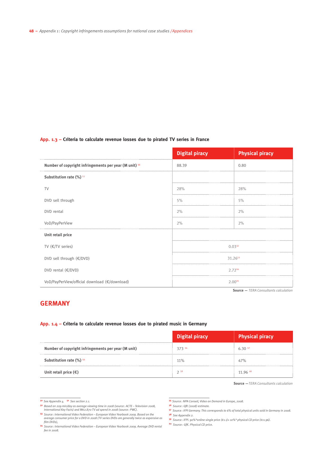#### **App. 1.3 – Criteria to calculate revenue losses due to pirated TV series in France**

|                                                        | <b>Digital piracy</b> | <b>Physical piracy</b> |
|--------------------------------------------------------|-----------------------|------------------------|
| Number of copyright infringements per year (M unit) 50 | 88.39                 | 0.80                   |
| Substitution rate (%) 51                               |                       |                        |
| <b>TV</b>                                              | 28%                   | 28%                    |
| DVD sell through                                       | 5%                    | 5%                     |
| DVD rental                                             | 2%                    | 2%                     |
| VoD/PayPerView                                         | 2%                    | 2%                     |
| Unit retail price                                      |                       |                        |
| TV $(E/TV$ series)                                     |                       | 0.0332                 |
| DVD sell through $(\epsilon/\text{DVD})$               |                       | 31.2653                |
| DVD rental $(\epsilon/\text{DVD})$                     |                       | 2.7254                 |
| VoD/PayPerView/official download (€/download)          |                       | 2.0055                 |

**Source —** *TERA Consultants calculation*

#### **Germany**

#### **App. 1.4 – Criteria to calculate revenue losses due to pirated music in Germany**

|                                                     | Digital piracy | <b>Physical piracy</b> |
|-----------------------------------------------------|----------------|------------------------|
| Number of copyright infringements per year (M unit) | 373 56         | 6.3057                 |
| Substitution rate (%) 58                            | 11%            | 47%                    |
| Unit retail price $(\epsilon)$                      | 759            | 11 96 60               |

**Source —***TERA Consultants calculation*

**<sup>55</sup>** *Source: NPA Conseil, Video on Demand in Europe, 2008.*

- 
- **<sup>59</sup>** *Source: IFPI. 90%\*online single price (€1.1)+ 10%\* physical CD price (€11.96).*
- **<sup>60</sup>** *Source: GfK. Physical CD price.*

**<sup>50</sup>** *See Appendix 4.* **<sup>51</sup>** *See section 2.1.*

**<sup>52</sup>** *Based on 209 min/day as average viewing time in 2008 (source: ACTE – Television 2008, International Key Facts) and M€2.870 TV ad spend in 2008 (source: PWC).*

**<sup>53</sup>** *Source: International Video Federation – European Video Yearbook 2009. Based on the average consumer price for a DVD in 2008 (TV series DVDs are generally twice as expensive as film DVDs),* 

**<sup>54</sup>** *Source: International Video Federation – European Video Yearbook 2009. Average DVD rental fee in 2008.*

**<sup>56</sup>** *Source: GfK (2008) estimate.*

**<sup>57</sup>** *Source: IFPI Germany. This corresponds to 6% of total physical units sold in Germany in 2008.* **<sup>58</sup>** *See Appendix 2.*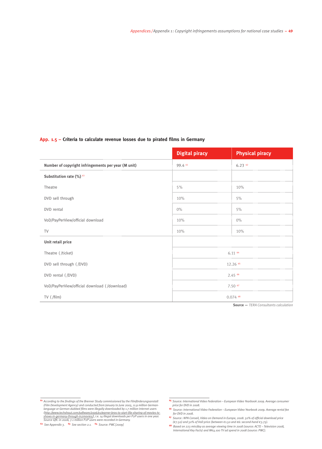#### **App. 1.5 – Criteria to calculate revenue losses due to pirated films in Germany**

|                                                     | <b>Digital piracy</b> | <b>Physical piracy</b> |
|-----------------------------------------------------|-----------------------|------------------------|
| Number of copyright infringements per year (M unit) | 99.4 61               | $6.23^{62}$            |
| Substitution rate (%) 63                            |                       |                        |
| Theatre                                             | 5%                    | 10%                    |
| DVD sell through                                    | 10%                   | 5%                     |
| DVD rental                                          | $0\%$                 | 5%                     |
| VoD/PayPerView/official download                    | 10%                   | $0\%$                  |
| <b>TV</b>                                           | 10%                   | 10%                    |
| Unit retail price                                   |                       |                        |
| Theatre (/ticket)                                   |                       | $6.11$ $64$            |
| DVD sell through (/DVD)                             |                       | $12.26$ $65$           |
| DVD rental (/DVD)                                   |                       | 2.45 66                |
| VoD/PayPerView/official download (/download)        |                       | $7.50$ $67$            |
| TV (/film)                                          |                       | $0.074$ 68             |

**Source —** *TERA Consultants calculation*

**<sup>61</sup>** *According to the findings of the Brenner Study commissioned by the Filmförderungsanstalt (Film Development Agency) and conducted from January to June 2005, 11.9 million German-language or German-dubbed films were illegally downloaded by 1.7 million Internet users*  (http://www.techshout.com/software/2006/01/warner-bros-to-start-file-sharing-of-movies-ty-<br>shows-in-germany-through-inzmovies/), i.e. 14 illegal downloads per P2P users in one year.<br>Source GfK: in 2008, 7.1 million P2P use

**<sup>65</sup>** *Source: International Video Federation – European Video Yearbook 2009. Average consumer* 

*price for DVD in 2008.* **<sup>66</sup>** *Source: International Video Federation – European Video Yearbook 2009. Average rental fee for DVD in 2008.*

**<sup>&</sup>lt;sup>67</sup>** Source: NPA Conseil, Video on Demand in Europe, 2008. 50% of official download price<br>(€7.50) and 50% of VoD price (between €1.50 and €6: second-hand €3.75).

**<sup>68</sup>** *Based on 223 min/day as average viewing time in 2008 (source: ACTE – Television 2008, International Key Facts) and M€4.100 TV ad spend in 2008 (source: PWC).*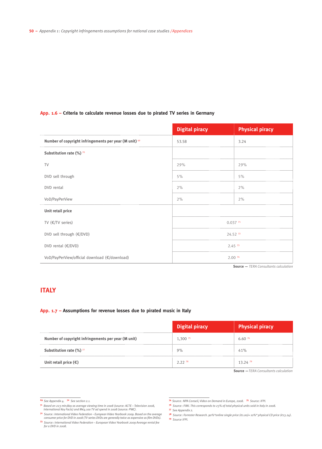#### **App. 1.6 – Criteria to calculate revenue losses due to pirated TV series in Germany**

|                                                        | <b>Digital piracy</b> | <b>Physical piracy</b> |
|--------------------------------------------------------|-----------------------|------------------------|
| Number of copyright infringements per year (M unit) 69 | 53.58                 | 3.24                   |
| Substitution rate (%) 70                               |                       |                        |
| <b>TV</b>                                              | 29%                   | 29%                    |
| DVD sell through                                       | 5%                    | 5%                     |
| DVD rental                                             | 2%                    | 2%                     |
| VoD/PayPerView                                         | 2%                    | 2%                     |
| Unit retail price                                      |                       |                        |
| TV (€/TV series)                                       | 0.03771               |                        |
| DVD sell through (€/DVD)                               | 24.52 72              |                        |
| DVD rental $(\epsilon/\text{DVD})$                     | $2.45^{73}$           |                        |
| VoD/PayPerView/official download (€/download)          |                       | 2.00 74                |

**Source —** *TERA Consultants calculation*

#### **Italy**

#### **App. 1.7 – Assumptions for revenue losses due to pirated music in Italy**

|                                                     | Digital piracy | <b>Physical piracy</b> |
|-----------------------------------------------------|----------------|------------------------|
| Number of copyright infringements per year (M unit) | $1,300^{75}$   | 6.607                  |
| Substitution rate (%) 77                            | 9%             | 41%                    |
| Unit retail price $(\epsilon)$                      | 2278           | 13.247                 |

**Source —***TERA Consultants calculation*

**<sup>69</sup>** *See Appendix 4.* **<sup>70</sup>** *See section 2.1.*

**<sup>71</sup>** *Based on 223 min/day as average viewing time in 2008 (source: ACTE – Television 2008, International Key Facts) and M€4.100 TV ad spend in 2008 (source: PWC).*

**<sup>72</sup>** *Source: International Video Federation – European Video Yearbook 2009. Based on the average consumer price for DVD in 2008 (TV series DVDs are generally twice as expensive as film DVDs).*  **<sup>73</sup>** *Source: International Video Federation – European Video Yearbook 2009 Average rental fee* 

*for a DVD in 2008.* 

**<sup>74</sup>** *Source: NPA Conseil, Video on Demand in Europe, 2008.* **<sup>75</sup>** *Source: IFPI.* **<sup>76</sup>** *Source: FIMI. This corresponds to 23% of total physical units sold in Italy in 2008.* 

**<sup>77</sup>** *See Appendix 2.*

**<sup>78</sup>** *Source: Forrester Research. 90%\*online single price (€1.00)+ 10%\* physical CD price (€13.24).*  **<sup>79</sup>** *Source IFPI.*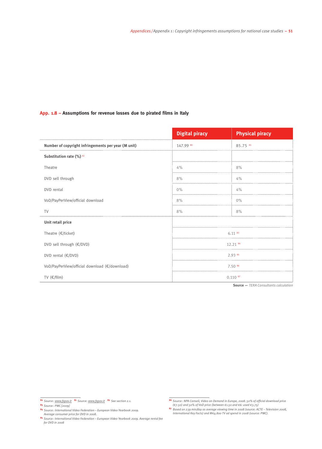#### **App. 1.8 – Assumptions for revenue losses due to pirated films in Italy**

|                                                     | <b>Digital piracy</b> | <b>Physical piracy</b> |
|-----------------------------------------------------|-----------------------|------------------------|
| Number of copyright infringements per year (M unit) | 147.99 80             | 85.75 81               |
| Substitution rate (%) 82                            |                       |                        |
| Theatre                                             | 4%                    | 8%                     |
| DVD sell through                                    | 8%                    | $4\%$                  |
| DVD rental                                          | $0\%$                 | 4%                     |
| VoD/PayPerView/official download                    | 8%                    | $0\%$                  |
| <b>TV</b>                                           | 8%                    | 8%                     |
| Unit retail price                                   |                       |                        |
| Theatre (€/ticket)                                  |                       | $6.11^{83}$            |
| DVD sell through (€/DVD)                            |                       | 12.21 84               |
| DVD rental (€/DVD)                                  |                       | 2.93 85                |
| VoD/PayPerView/official download (€/download)       |                       | 7.50 86                |
| TV $(\epsilon/\mathrm{film})$                       |                       | 0.110 <sup>87</sup>    |

**Source —** *TERA Consultants calculation*

**<sup>84</sup>** *Source: International Video Federation – European Video Yearbook 2009.* 

**<sup>80</sup>** *Source : www.fapav.it* **<sup>81</sup>** *Source: www.fapav.it* **<sup>82</sup>** *See section 2.1.*

**<sup>83</sup>** *Source : PWC [2009]* 

*Average consumer price for DVD in 2008.* **<sup>85</sup>** *Source : International Video Federation – European Video Yearbook 2009. Average rental fee for DVD in 2008* 

<sup>&</sup>lt;sup>86</sup> Source: NPA Conseil, Video on Demand in Europe, 2008. 50% of official download price<br>(€7.50) and 50% of VoD price (between €1.50 and €6: used €3.75)

**<sup>87</sup>** *Based on 239 min/day as average viewing time in 2008 (source: ACTE – Television 2008, International Key Facts) and M€4.800 TV ad spend in 2008 (source: PWC).*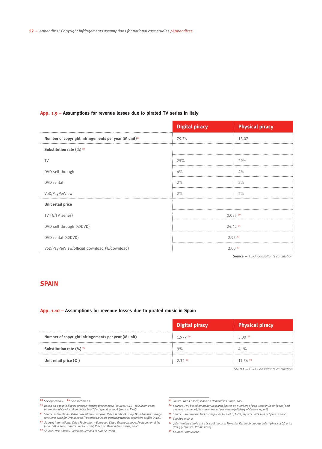#### **App. 1.9 – Assumptions for revenue losses due to pirated TV series in Italy**

|                                                                   | <b>Digital piracy</b> | <b>Physical piracy</b> |
|-------------------------------------------------------------------|-----------------------|------------------------|
| Number of copyright infringements per year (M unit) <sup>88</sup> | 79.76                 | 13.07                  |
| Substitution rate (%) 89                                          |                       |                        |
| <b>TV</b>                                                         | 25%                   | 29%                    |
| DVD sell through                                                  | 4%                    | 4%                     |
| DVD rental                                                        | 2%                    | 2%                     |
| VoD/PayPerView                                                    | 2%                    | 2%                     |
| Unit retail price                                                 |                       |                        |
| TV $(E/TV$ series)                                                |                       | $0.055$ 90             |
| DVD sell through (€/DVD)                                          |                       | 24.42 91               |
| DVD rental $(\epsilon/\text{DVD})$                                |                       | 2.93 92                |
| VoD/PayPerView/official download (€/download)                     |                       | 2.00 <sup>93</sup>     |

**Source —** *TERA Consultants calculation*

#### **Spain**

#### **App. 1.10 – Assumptions for revenue losses due to pirated music in Spain**

|                                                     | Digital piracy | Physical piracy      |
|-----------------------------------------------------|----------------|----------------------|
| Number of copyright infringements per year (M unit) | 1.977 94       | $5.00$ <sup>95</sup> |
| Substitution rate $(\%)$ <sup>96</sup>              | 9%             | 41%                  |
| Unit retail price $(\epsilon)$                      | 2.3297         | 11.34 98             |

**Source —***TERA Consultants calculation*

**<sup>90</sup>** *Based on 239 min/day as average viewing time in 2008 (source: ACTE – Television 2008, International Key Facts) and M€4.800 TV ad spend in 2008 (source: PWC).*

- **<sup>94</sup>** *Source: IFPI, based on Jupiter Research figures on numbers of p2p users in Spain [2009] and average number of files downloaded per person [Ministry of Culture report].*
- **<sup>95</sup>** *Source: Promusicae. This corresponds to 20% of total physical units sold in Spain in 2008.*  **<sup>96</sup>** *See Appendix 2.* 
	-
- **<sup>97</sup>** *90% \* online single price (€1.30) [source: Forrester Research, 2009]+ 10% \* physical CD price (€11.34) [source: Promusicae].*
- **<sup>98</sup>** *Source: Promusicae.*

**<sup>88</sup>** *See Appendix 4.* **<sup>89</sup>** *See section 2.1.*

**<sup>91</sup>** *Source: International Video Federation – European Video Yearbook 2009. Based on the average consumer price for DVD in 2008 (TV series DVDs are generally twice as expensive as film DVDs).*  **<sup>92</sup>** *Source: International Video Federation – European Video Yearbook 2009. Average rental fee* 

*for a DVD in 2008. Source: NPA Conseil, Video on Demand in Europe, 2008.*

**<sup>92</sup>** *Source: NPA Conseil, Video on Demand in Europe, 2008.*

**<sup>93</sup>** *Source: NPA Conseil, Video on Demand in Europe, 2008.*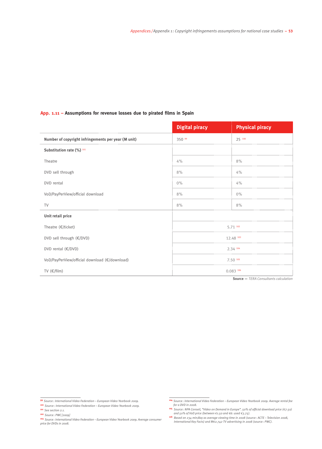#### **App. 1.11 – Assumptions for revenue losses due to pirated films in Spain**

|                                                     | <b>Digital piracy</b> | <b>Physical piracy</b> |
|-----------------------------------------------------|-----------------------|------------------------|
| Number of copyright infringements per year (M unit) | 350 99                | 25 100                 |
| Substitution rate (%) 101                           |                       |                        |
| Theatre                                             | 4%                    | 8%                     |
| DVD sell through                                    | 8%                    | 4%                     |
| DVD rental                                          | $0\%$                 | 4%                     |
| VoD/PayPerView/official download                    | 8%                    | $0\%$                  |
| <b>TV</b>                                           | 8%                    | 8%                     |
| Unit retail price                                   |                       |                        |
| Theatre (€/ticket)                                  |                       | 5.71 102               |
| DVD sell through (€/DVD)                            |                       | 12.48 103              |
| DVD rental (€/DVD)                                  |                       | 2.34 104               |
| VoD/PayPerView/official download (€/download)       |                       | 7.50 105               |
| TV $(\epsilon/\text{film})$                         |                       | 0.083106               |

**Source —** *TERA Consultants calculation*

**<sup>100</sup>** *Source : International Video Federation – European Video Yearbook 2009.* 

**<sup>101</sup>** *See section 2.1.*

**<sup>102</sup>** *Source: PWC [2009]* 

**<sup>99</sup>** *Source: International Video Federation – European Video Yearbook 2009.*

**<sup>103</sup>** *Source: International Video Federation – European Video Yearbook 2009. Average consumer price for DVDs in 2008.*

**<sup>104</sup>** *Source: International Video Federation – European Video Yearbook 2009. Average rental fee for a DVD in 2008.*

<sup>&</sup>lt;sup>105</sup> Source : NPA Conseil, "Video on Demand in Europe". 50% of official download price (€7.50) and 50% of VoD price (between €1.50 and €6: used €3.75).

**<sup>106</sup>** *Based on 234 min/day as average viewing time in 2008 (source: ACTE – Television 2008, International Key Facts) and M€2.742 TV advertising in 2008 (source : PWC).*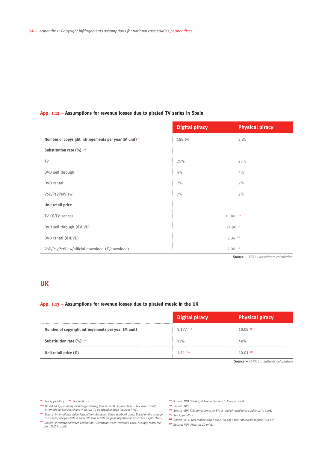#### **App. 1.12 – Assumptions for revenue losses due to pirated TV series in Spain**

|                                                         | <b>Digital piracy</b> | <b>Physical piracy</b> |  |
|---------------------------------------------------------|-----------------------|------------------------|--|
| Number of copyright infringements per year (M unit) 107 | 188.64                | 3.81                   |  |
| Substitution rate (%) 108                               |                       |                        |  |
| TV                                                      | 25%                   | 25%                    |  |
| DVD sell through                                        | 4%                    | 4%                     |  |
| DVD rental                                              | 2%                    | 2%                     |  |
| VoD/PayPerView                                          | 2%                    | 2%                     |  |
| Unit retail price                                       |                       |                        |  |
| TV $(E/TV$ series)                                      | $0.041$ 109           |                        |  |
| DVD sell through (€/DVD)                                | 24.96 110             |                        |  |
| DVD rental (€/DVD)                                      | 2.34 111              |                        |  |
| VoD/PayPerView/official download (€/download)           | $2.00$ $112$          |                        |  |

**Source —** *TERA Consultants calculation*

#### **UK**

#### **App. 1.13 – Assumptions for revenue losses due to pirated music in the UK**

|                                                     | Digital piracy | Physical piracy |
|-----------------------------------------------------|----------------|-----------------|
| Number of copyright infringements per year (M unit) | 1.177 113      | 10.08 114       |
| Substitution rate $(\%)$ <sup>115</sup>             | 11%            | 48%             |
| Unit retail price $(\epsilon)$                      | 1.81 116       | $10.01$ $117$   |

**Source —***TERA Consultants calculation*

**<sup>107</sup>** *See Appendix 4.* **<sup>108</sup>** *See section 2.1.*

**<sup>109</sup>** *Based on 234 min/day as average viewing time in 2008 (source: ACTE – Television 2008, International Key Facts) and M€2.742 TV ad spend in 2008 (source: PWC).*

**<sup>110</sup>** *Source: International Video Federation – European Video Yearbook 2009. Based on the average consumer price for DVDs in 2008 (TV series DVDs are generally twice as expensive as film DVDs).*  **<sup>111</sup>** *Source: International Video Federation – European Video Yearbook 2009. Average rental fee* 

*for a DVD in 2008.*

**<sup>112</sup>** *Source: NPA Conseil, Video on Demand in Europe, 2008.* 

**<sup>113</sup>** *Source: BPI.*

- **<sup>114</sup>** *Source: BPI. This corresponds to 8% of total physical units sold in UK in 2008.*
- **<sup>115</sup>** *See Appendix 2.*
- **<sup>116</sup>** *Source: IFPI. 90%\*online single price (€0.90) + 10%\* physical CD price (€10.01).*
- **<sup>117</sup>** *Source: IFPI. Physical CD price.*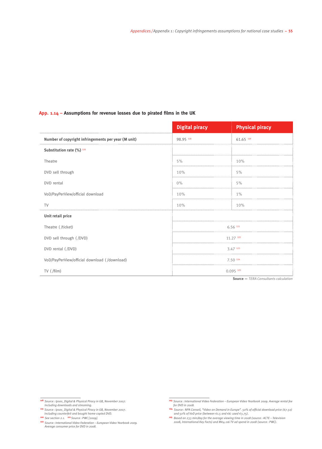#### **App. 1.14 – Assumptions for revenue losses due to pirated films in the UK**

|                                                     | <b>Digital piracy</b>  | <b>Physical piracy</b> |  |
|-----------------------------------------------------|------------------------|------------------------|--|
| Number of copyright infringements per year (M unit) | 98.95 118              | 61.65 119              |  |
| Substitution rate (%) 120                           |                        |                        |  |
| Theatre                                             | 5%                     | 10%                    |  |
| DVD sell through                                    | 10%                    | 5%                     |  |
| DVD rental                                          | $0\%$                  | 5%                     |  |
| VoD/PayPerView/official download                    | 10%                    | 1%                     |  |
| <b>TV</b>                                           | 10%                    | 10%                    |  |
| Unit retail price                                   |                        |                        |  |
| Theatre (/ticket)                                   |                        | 6.56 121               |  |
| DVD sell through (/DVD)                             |                        | $11.27$ $122$          |  |
| DVD rental (/DVD)                                   |                        | 3.47 123               |  |
| VoD/PayPerView/official download (/download)        | 7.50 124               |                        |  |
| TV (/film)                                          | $0.095$ <sup>125</sup> |                        |  |

**Source —** *TERA Consultants calculation*

**<sup>119</sup>** *Source : Ipsos\_Digital & Physical Piracy in GB, November 2007. Including counterfeit and bought home-copied DVD.* 

**<sup>120</sup>** *See section 2.1.* **121** *Source : PWC [2009].*

**<sup>122</sup>** *Source: International Video Federation – European Video Yearbook 2009. Average consumer price for DVD in 2008.*

**<sup>118</sup>** *Source : Ipsos\_Digital & Physical Piracy in GB, November 2007. Including downloads and streaming.* 

**<sup>123</sup>** *Source : International Video Federation – European Video Yearbook 2009. Average rental fee for DVD in 2008.*

**<sup>&</sup>lt;sup>124</sup>** Source: NPA Conseil, "Video on Demand in Europe". 50% of official download price (€7.50) and 50% of VoD price (between €1.5 and €6: used €3.75).

**<sup>125</sup>** *Based on 233 min/day for the average viewing time in 2008 (source: ACTE – Television 2008, International Key Facts) and M€4.116 TV ad spend in 2008 (source: PWC).*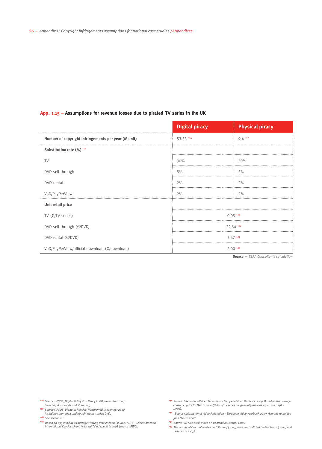#### **App. 1.15 – Assumptions for revenue losses due to pirated TV series in the UK**

|                                                     | <b>Digital piracy</b> | <b>Physical piracy</b> |  |
|-----------------------------------------------------|-----------------------|------------------------|--|
| Number of copyright infringements per year (M unit) | 53.33 126             | 9.4 127                |  |
| Substitution rate (%) 128                           |                       |                        |  |
| <b>TV</b>                                           | 30%                   | 30%                    |  |
| DVD sell through                                    | 5%                    | 5%                     |  |
| DVD rental                                          | 2%                    | 2%                     |  |
| VoD/PayPerView                                      | 2%                    | 2%                     |  |
| Unit retail price                                   |                       |                        |  |
| TV $(E/TV$ series)                                  |                       | 0.05129                |  |
| DVD sell through (€/DVD)                            | 22.54 130             |                        |  |
| DVD rental (€/DVD)                                  | 3.47 131              |                        |  |
| VoD/PayPerView/official download (€/download)       | $2.00$ <sup>132</sup> |                        |  |

**Source —** *TERA Consultants calculation*

**<sup>128</sup>** *See section 2.1.* 

**<sup>126</sup>** *Source: IPSOS\_Digital & Physical Piracy in GB, November 2007. Including downloads and streaming.*

**<sup>127</sup>** *Source: IPSOS\_Digital & Physical Piracy in GB, November 2007. Including counterfeit and bought home-copied DVD.*

**<sup>129</sup>** *Based on 233 min/day as average viewing time in 2008 (source: ACTE – Television 2008, International Key Facts) and M€4.116 TV ad spend in 2008 (source: PWC).*

**<sup>130</sup>** *Source: International Video Federation – European Video Yearbook 2009. Based on the average consumer price for DVD in 2008 (DVDs of TV series are generally twice as expensive as film DVDs).* 

**<sup>131</sup>** *Source: International Video Federation – European Video Yearbook 2009. Average rental fee for a DVD in 2008.*

**<sup>132</sup>** *Source: NPA Conseil, Video on Demand in Europe, 2008.*

**<sup>133</sup>** *The results of Oberholzer-Gee and Strumpf (2007) were contradicted by Blackburn (2007) and Leibowitz (2007).*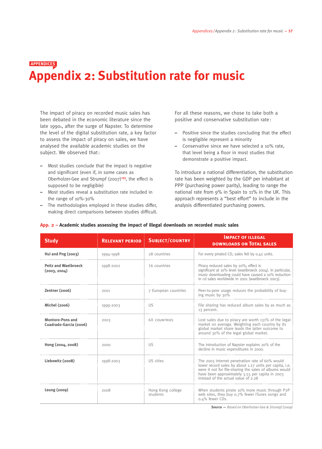### **Appendix 2: Substitution rate for music Appendices**

The impact of piracy on recorded music sales has been debated in the economic literature since the late 1990s, after the surge of Napster. To determine the level of the digital substitution rate, a key factor to assess the impact of piracy on sales, we have analysed the available academic studies on the subject. We observed that:

- Most studies conclude that the impact is negative and significant (even if, in some cases as Oberholzer-Gee and Strumpf (2007)**133**, the effect is supposed to be negligible)
- Most studies reveal a substitution rate included in the range of 10%-30%
- The methodologies employed in these studies differ, making direct comparisons between studies difficult.

For all these reasons, we chose to take both a positive and conservative substitution rate:

- Positive since the studies concluding that the effect is negligible represent a minority
- Conservative since we have selected a 10% rate, that level being a floor in most studies that demonstrate a positive impact.

To introduce a national differentiation, the substitution rate has been weighted by the GDP per inhabitant at PPP (purchasing power parity), leading to range the national rate from 9% in Spain to 11% in the UK. This approach represents a "best effort" to include in the analysis differentiated purchasing powers.

| <b>Study</b>                                      | <b>RELEVANT PERIOD</b> | <b>SUBJECT/COUNTRY</b>        | <b>IMPACT OF ILLEGAL</b><br><b>DOWNLOADS ON TOTAL SALES</b>                                                                                                                                                                                                    |
|---------------------------------------------------|------------------------|-------------------------------|----------------------------------------------------------------------------------------------------------------------------------------------------------------------------------------------------------------------------------------------------------------|
| Hui and $Png(2003)$                               | 1994-1998              | 28 countries                  | For every pirated CD, sales fell by 0.42 units.                                                                                                                                                                                                                |
| <b>Peitz and Waelbroeck</b><br>(2003, 2004)       | 1998-2002              | 16 countries                  | Piracy reduced sales by 20%; effect is<br>significant at 10% level (waelbroeck 2004). In particular,<br>music downloading could have caused a 10% reduction<br>in cd sales worldwide in 2001 (waelbroeck 2003).                                                |
| Zentner (2006)                                    | 2001                   | 7 European countries          | Peer-to-peer usage reduces the probability of buy-<br>ing music by 30%                                                                                                                                                                                         |
| Michel (2006)                                     | 1999-2003              | US                            | File sharing has reduced album sales by as much as<br>13 percent.                                                                                                                                                                                              |
| <b>Montoro-Pons and</b><br>Cuadrado-Garcia (2006) | 2003                   | <b>60 COUNTRIES</b>           | Lost sales due to piracy are worth 131% of the legal<br>market on average. Weighting each country by its<br>global market share leads the latter outcome to<br>around 30% of the legal global market.                                                          |
| Hong (2004, 2008)                                 | 2000                   | <b>US</b>                     | The introduction of Napster explains 20% of the<br>decline in music expenditures in 2000.                                                                                                                                                                      |
| Liebowitz (2008)                                  | 1998-2003              | US cities                     | The 2003 Internet penetration rate of 60% would<br>lower record sales by about 1.27 units per capita, i.e.<br>were it not for file-sharing the sales of albums would<br>have been approximately 3.55 per capita in 2003<br>instead of the actual value of 2.28 |
| Leung (2009)                                      | 2008                   | Hong Kong college<br>students | When students pirate 10% more music through P2P<br>web sites, they buy 0.7% fewer iTunes songs and<br>0.4% fewer CDs.                                                                                                                                          |

#### **App. 2 – Academic studies assessing the impact of illegal downloads on recorded music sales**

**Source —** *Based on Oberholzer-Gee & Strumpf (2009)*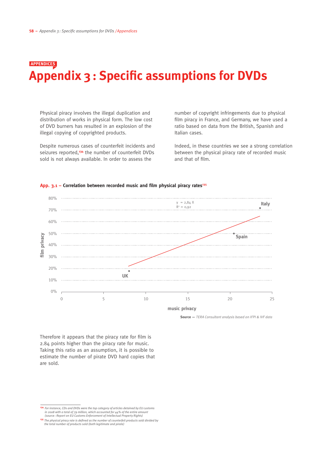### **Appendix 3: Specific assumptions for DVDs Appendices**

Physical piracy involves the illegal duplication and distribution of works in physical form. The low cost of DVD burners has resulted in an explosion of the illegal copying of copyrighted products.

Despite numerous cases of counterfeit incidents and seizures reported,**134** the number of counterfeit DVDs sold is not always available. In order to assess the

number of copyright infringements due to physical film piracy in France, and Germany, we have used a ratio based on data from the British, Spanish and Italian cases.

Indeed, in these countries we see a strong correlation between the physical piracy rate of recorded music and that of film.



App. 3.1 – Correlation between recorded music and film physical piracy rates<sup>135</sup>

**Source —** *TERA Consultant analysis based on IFPI & IVF data*

Therefore it appears that the piracy rate for film is 2.84 points higher than the piracy rate for music. Taking this ratio as an assumption, it is possible to estimate the number of pirate DVD hard copies that are sold.

**<sup>134</sup>** *For instance, CDs and DVDs were the top category of articles detained by EU customs*  in 2008 with a total of 79 million, which accounted for 44% of the entire amount *(source : Report on EU Customs Enforcement of Intellectual Property Rights)*

**<sup>135</sup>** *The physical piracy rate is defined as the number of counterfeit products sold divided by the total number of products sold (both legitimate and pirate)*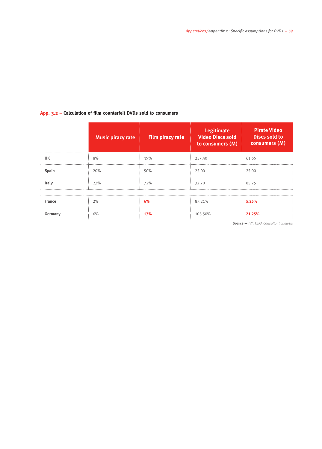#### **App. 3.2 – Calculation of film counterfeit DVDs sold to consumers**

|               | <b>Music piracy rate</b> | Film piracy rate | <b>Legitimate</b><br><b>Video Discs sold</b><br>to consumers (M) | <b>Pirate Video</b><br><b>Discs sold to</b><br>consumers (M) |
|---------------|--------------------------|------------------|------------------------------------------------------------------|--------------------------------------------------------------|
| <b>UK</b>     | 8%                       | 19%              | 257.40                                                           | 61.65                                                        |
| Spain         | 20%                      | 50%              | 25.00                                                            | 25.00                                                        |
| Italy         | 23%                      | 72%              | 32,70                                                            | 85.75                                                        |
|               |                          |                  |                                                                  |                                                              |
| <b>France</b> | 2%                       | 6%               | 87.21%                                                           | 5.25%                                                        |
| Germany       | 6%                       | <b>17%</b>       | 103.50%                                                          | 21.25%                                                       |

**Source —** *IVF, TERA Consultant analysis*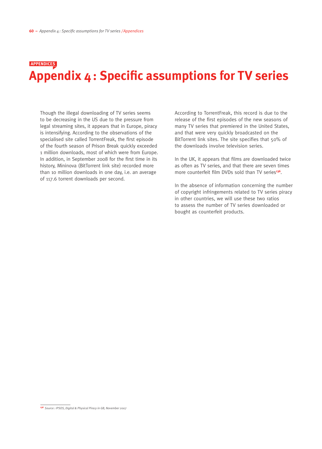## **Appendix 4: Specific assumptions for TV series Appendices**

Though the illegal downloading of TV series seems to be decreasing in the US due to the pressure from legal streaming sites, it appears that in Europe, piracy is intensifying. According to the observations of the specialised site called TorrentFreak, the first episode of the fourth season of Prison Break quickly exceeded 1 million downloads, most of which were from Europe. In addition, in September 2008 for the first time in its history, Mininova (BitTorrent link site) recorded more than 10 million downloads in one day, i.e. an average of 117.6 torrent downloads per second.

According to TorrentFreak, this record is due to the release of the first episodes of the new seasons of many TV series that premiered in the United States, and that were very quickly broadcasted on the BitTorrent link sites. The site specifies that 50% of the downloads involve television series.

In the UK, it appears that films are downloaded twice as often as TV series, and that there are seven times more counterfeit film DVDs sold than TV series**136**.

In the absence of information concerning the number of copyright infringements related to TV series piracy in other countries, we will use these two ratios to assess the number of TV series downloaded or bought as counterfeit products.

**<sup>136</sup>** *Source : IPSOS, Digital & Physical Piracy in GB, November 2007*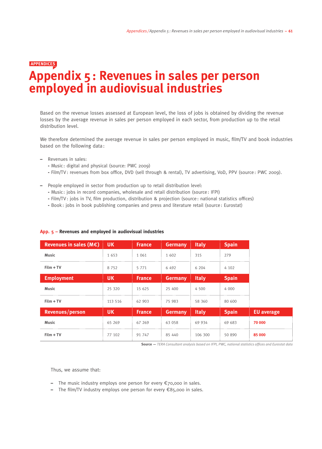## **Appendix 5 : Revenues in sales per person employed in audiovisual industries Appendices**

Based on the revenue losses assessed at European level, the loss of jobs is obtained by dividing the revenue losses by the average revenue in sales per person employed in each sector, from production up to the retail distribution level.

We therefore determined the average revenue in sales per person employed in music, film/TV and book industries based on the following data :

- Revenues in sales:
	- Music : digital and physical (source: PWC 2009)
	- Film/TV : revenues from box office, DVD (sell through & rental), TV advertising, VoD, PPV (source : PWC 2009).
- People employed in sector from production up to retail distribution level:
	- Music : jobs in record companies, wholesale and retail distribution (source: IFPI)
	- Film/TV : jobs in TV, film production, distribution & projection (source : national statistics offices)
	- Book: jobs in book publishing companies and press and literature retail (source : Eurostat)

| Revenues in sales $(M \epsilon)$ | UK.       | France        | <b>Germany</b> | <b>Italy</b> | <b>Spain</b> |                   |
|----------------------------------|-----------|---------------|----------------|--------------|--------------|-------------------|
| <b>Music</b>                     | 1653      | 1 0 6 1       | 1 602          | 315          | 279          |                   |
| $Film + TV$                      | 8 7 5 2   | 5 7 7 1       | 6 4 9 2        | 6 204        | 4 102        |                   |
| <b>Employment</b>                | <b>UK</b> | <b>France</b> | <b>Germany</b> | <b>Italy</b> | <b>Spain</b> |                   |
| <b>Music</b>                     | 25 320    | 15 625        | 25 400         | 4 500        | 4 0 0 0      |                   |
| $Film + TV$                      | 113 516   | 62 903        | 75 983         | 58 360       | 80 600       |                   |
| <b>Revenues/person</b>           | UK.       | <b>France</b> | <b>Germany</b> | <b>Italy</b> | <b>Spain</b> | <b>EU</b> average |
| <b>Music</b>                     | 65 269    | 67 269        | 63 058         | 69 934       | 69 683       | 70 000            |
| $Film + TV$                      | 77 102    | 91 747        | 85 440         | 106 300      | 50 890       | 85 000            |

#### **App. 5 – Revenues and employed in audiovisual industries**

**w Source —** *TERA Consultant analysis based on IFPI, PWC, national statistics offices and Eurostat data*

Thus, we assume that:

- The music industry employs one person for every €70,000 in sales.
- The film/TV industry employs one person for every €85,000 in sales.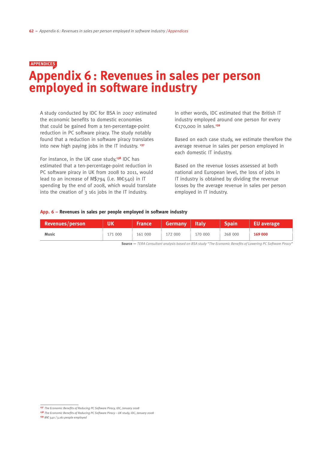# **Appendix 6: Revenues in sales per person employed in software industry Appendices**

A study conducted by IDC for BSA in 2007 estimated the economic benefits to domestic economies that could be gained from a ten-percentage-point reduction in PC software piracy. The study notably found that a reduction in software piracy translates into new high paying jobs in the IT industry. **<sup>137</sup>**

For instance, in the UK case study,**138** IDC has estimated that a ten-percentage-point reduction in PC software piracy in UK from 2008 to 2011, would lead to an increase of M\$794 (i.e. M€540) in IT spending by the end of 2008, which would translate into the creation of 3 161 jobs in the IT industry.

In other words, IDC estimated that the British IT industry employed around one person for every €170,000 in sales.**<sup>139</sup>**

Based on each case study, we estimate therefore the average revenue in sales per person employed in each domestic IT industry.

Based on the revenue losses assessed at both national and European level, the loss of jobs in IT industry is obtained by dividing the revenue losses by the average revenue in sales per person employed in IT industry.

#### **App. 6 – Revenues in sales per people employed in software industry**

| Revenues/person | ∣ UK    |         | <b>France Germany Italy</b> |         | <b>Spain</b> | <b>EU</b> average |
|-----------------|---------|---------|-----------------------------|---------|--------------|-------------------|
| <b>Music</b>    | 171 000 | 161 000 | 172 000                     | 170 000 | 268 000      | 169 000           |

**w Source —** *TERA Consultant analysis based on BSA study "The Economic Benefits of Lowering PC Software Piracy"*

**<sup>137</sup>** *The Economic Benefits of Reducing PC Software Piracy, IDC, January 2008*

**<sup>138</sup>** *The Economic Benefits of Reducing PC Software Piracy – UK study, IDC, January 2008*

**<sup>139</sup>** *M€ 540 / 3,161 people employed*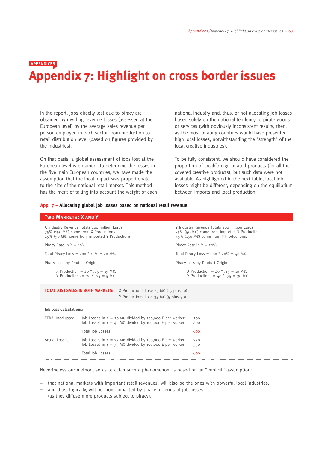### **Appendix 7: Highlight on cross border issues Appendices**

In the report, jobs directly lost due to piracy are obtained by dividing revenue losses (assessed at the European level) by the average sales revenue per person employed in each sector, from production to retail distribution level (based on figures provided by the industries).

On that basis, a global assessment of jobs lost at the European level is obtained. To determine the losses in the five main European countries, we have made the assumption that the local impact was proportionate to the size of the national retail market. This method has the merit of taking into account the weight of each national industry and, thus, of not allocating job losses based solely on the national tendency to pirate goods or services (with obviously inconsistent results, then, as the most pirating countries would have presented high local losses, notwithstanding the "strength" of the local creative industries).

To be fully consistent, we should have considered the proportion of local/foreign pirated products (for all the covered creative products), but such data were not available. As highlighted in the next table, local job losses might be different, depending on the equilibrium between imports and local production.

#### **App. 7 – Allocating global job losses based on national retail revenue**

| <b>TWO MARKETS: X AND Y</b>                                                                                                                                 |                                                                                                                                          |                                                                                                                                                    |
|-------------------------------------------------------------------------------------------------------------------------------------------------------------|------------------------------------------------------------------------------------------------------------------------------------------|----------------------------------------------------------------------------------------------------------------------------------------------------|
| X Industry Revenue Totals 200 million Euros<br>75% (150 M€) come from X Productions<br>$25\%$ (50 ME) come from imported Y Productions.                     |                                                                                                                                          | Y Industry Revenue Totals 200 million Euros<br>$25\%$ (50 M $\epsilon$ ) come from imported X Productions<br>75% (150 M€) come from Y Productions. |
| Piracy Rate in $X = 10\%$                                                                                                                                   |                                                                                                                                          | Piracy Rate in $Y = 20\%$                                                                                                                          |
|                                                                                                                                                             | Total Piracy Loss = 200 $*$ 10% = 20 M€.                                                                                                 | Total Piracy Loss = 200 $*$ 20% = 40 M€.                                                                                                           |
| Piracy Loss by Product Origin:                                                                                                                              |                                                                                                                                          | Piracy Loss by Product Origin:                                                                                                                     |
| X Production = 20 $*$ .75 = 15 M€.<br>Y Productions = 20 $*$ .25 = 5 M $\epsilon$ .                                                                         |                                                                                                                                          | X Production = $40 * .25 = 10$ M€.<br>Y Productions = 40 $*$ .75 = 30 M€.                                                                          |
|                                                                                                                                                             | <b>TOTAL LOST SALES IN BOTH MARKETS:</b><br>X Productions Lose 25 $M \in (15 \text{ plus } 10)$<br>Y Productions Lose 35 M€ (5 plus 30). |                                                                                                                                                    |
| <b>Job Loss Calculations:</b>                                                                                                                               |                                                                                                                                          |                                                                                                                                                    |
| <b>TERA Unadjusted:</b><br>Job Losses in $X = 20$ M€ divided by 100,000 E per worker<br>Job Losses in $Y = 40$ M $\epsilon$ divided by 100,000 E per worker |                                                                                                                                          | 200<br>400                                                                                                                                         |
|                                                                                                                                                             | Total Job Losses                                                                                                                         | 600                                                                                                                                                |
| Actual Losses:                                                                                                                                              | Job Losses in $X = 25$ M€ divided by 100,000 E per worker<br>Job Losses in $Y = 35$ ME divided by 100,000 E per worker                   | 250<br>350                                                                                                                                         |
|                                                                                                                                                             | Total Job Losses                                                                                                                         | 600                                                                                                                                                |

Nevertheless our method, so as to catch such a phenomenon, is based on an "implicit" assumption:

- that national markets with important retail revenues, will also be the ones with powerful local industries,
- and thus, logically, will be more impacted by piracy in terms of job losses (as they diffuse more products subject to piracy).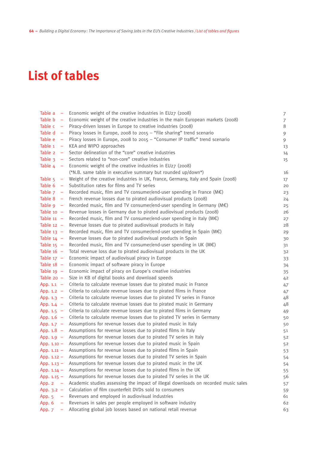# **List of tables**

| Table a           | - Economic weight of the creative industries in $EU27$ (2008)                                | 7              |
|-------------------|----------------------------------------------------------------------------------------------|----------------|
| Table b           | - Economic weight of the creative industries in the main European markets (2008)             | $\overline{7}$ |
| Table c           | - Piracy-driven losses in Europe to creative industries (2008)                               | $8\,$          |
| Table d           | - Piracy losses in Europe, 2008 to 2015 - "File sharing" trend scenario                      | 9              |
| Table e<br>$\sim$ | Piracy losses in Europe, 2008 to 2015 - "Consumer IP traffic" trend scenario                 | 9              |
|                   | Table 1 - KEA and WIPO approaches                                                            | 13             |
| Table 2           | - Sector delineation of the "core" creative industries                                       | 14             |
|                   | Table $3 -$ Sectors related to "non-core" creative industries                                | 15             |
|                   | Table $4 -$ Economic weight of the creative industries in EU27 (2008)                        |                |
|                   | (*N.B. same table in executive summary but rounded up/down*)                                 | 16             |
|                   | Table $5 -$ Weight of the creative industries in UK, France, Germany, Italy and Spain (2008) | 17             |
|                   | Table 6 - Substitution rates for films and TV series                                         | 20             |
|                   | Table $7$ - Recorded music, film and TV consumer/end-user spending in France (ME)            | 23             |
|                   | Table 8 - French revenue losses due to pirated audiovisual products (2008)                   | 24             |
|                   | Table $9 -$ Recorded music, film and TV consumer/end-user spending in Germany (ME)           | 25             |
| Table $10 -$      | Revenue losses in Germany due to pirated audiovisual products (2008)                         | 26             |
| Table $11 -$      | Recorded music, film and TV consumer/end-user spending in Italy $(M \in)$                    | 27             |
| Table $12 -$      | Revenue losses due to pirated audiovisual products in Italy                                  | 28             |
| Table $13 -$      | Recorded music, film and TV consumer/end-user spending in Spain $(ME)$                       | 29             |
| Table $14 -$      | Revenue losses due to pirated audiovisual products in Spain                                  | 30             |
| Table $15 -$      | Recorded music, film and TV consumer/end-user spending in UK (M€)                            | 31             |
| Table $16 -$      | Total revenue loss due to pirated audiovisual products in the UK                             | 32             |
| Table $17 -$      | Economic impact of audiovisual piracy in Europe                                              | 33             |
| Table $18 -$      | Economic impact of software piracy in Europe                                                 | 34             |
| Table $19 -$      | Economic impact of piracy on Europe's creative industries                                    | 35             |
| Table $20 -$      | Size in KB of digital books and download speeds                                              | 4 <sup>2</sup> |
| App. $1.1 -$      | Criteria to calculate revenue losses due to pirated music in France                          | 47             |
| App. $1.2 -$      | Criteria to calculate revenue losses due to pirated films in France                          | 47             |
| App. $1.3 -$      | Criteria to calculate revenue losses due to pirated TV series in France                      | 48             |
| App. $1.4 -$      | Criteria to calculate revenue losses due to pirated music in Germany                         | 48             |
| App. $1.5 -$      | Criteria to calculate revenue losses due to pirated films in Germany                         | 49             |
|                   | App. $1.6 -$ Criteria to calculate revenue losses due to pirated TV series in Germany        | 50             |
|                   | App. $1.7 -$ Assumptions for revenue losses due to pirated music in Italy                    | 50             |
|                   | App. $1.8$ - Assumptions for revenue losses due to pirated films in Italy                    | 51             |
|                   | App. $1.9 -$ Assumptions for revenue losses due to pirated TV series in Italy                | 52             |
| App. $1.10 -$     | Assumptions for revenue losses due to pirated music in Spain                                 | 52             |
| App. $1.11 -$     | Assumptions for revenue losses due to pirated films in Spain                                 | 53             |
| App. 1.12 -       | Assumptions for revenue losses due to pirated TV series in Spain                             | 54             |
| App. $1.13 -$     | Assumptions for revenue losses due to pirated music in the UK                                | 54             |
| App. $1.14 -$     | Assumptions for revenue losses due to pirated films in the UK                                | 55             |
| App. $1.15 -$     | Assumptions for revenue losses due to pirated TV series in the UK                            | 56             |
| App. 2            | Academic studies assessing the impact of illegal downloads on recorded music sales           | 57             |
| App. $3.2 -$      | Calculation of film counterfeit DVDs sold to consumers                                       | 59             |
| App. 5            | Revenues and employed in audiovisual industries                                              | 61             |
| App. 6            | Revenues in sales per people employed in software industry                                   | 62             |
| App. 7<br>-       | Allocating global job losses based on national retail revenue                                | 63             |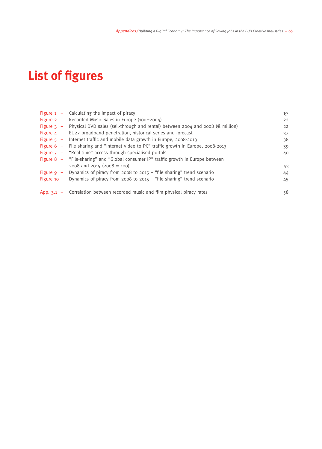# **List of figures**

| Figure $1 -$ Calculating the impact of piracy                                                       | 19 |
|-----------------------------------------------------------------------------------------------------|----|
| Figure $2 -$ Recorded Music Sales in Europe (100=2004)                                              | 22 |
| Figure 3 – Physical DVD sales (sell-through and rental) between 2004 and 2008 ( $\epsilon$ million) | 22 |
| Figure $4 - EU27$ broadband penetration, historical series and forecast                             | 37 |
| Figure $5 -$ Internet traffic and mobile data growth in Europe, 2008-2013                           | 38 |
| Figure 6 - File sharing and "Internet video to PC" traffic growth in Europe, 2008-2013              | 39 |
| Figure $7 -$ "Real-time" access through specialised portals                                         | 40 |
| Figure 8 – "File-sharing" and "Global consumer IP" traffic growth in Europe between                 |    |
| $2008$ and $2015$ ( $2008 = 100$ )                                                                  | 43 |
| Figure $9 -$ Dynamics of piracy from 2008 to 2015 – "file sharing" trend scenario                   | 44 |
| Figure 10 - Dynamics of piracy from 2008 to 2015 - "file sharing" trend scenario                    | 45 |
|                                                                                                     |    |
| App. $3.1 -$ Correlation between recorded music and film physical piracy rates                      | 58 |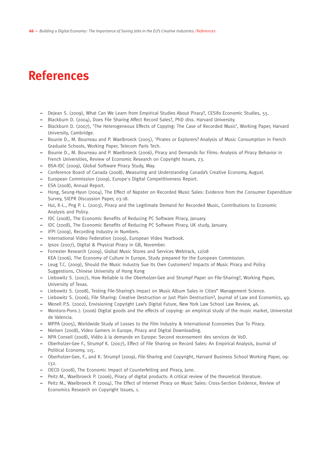# **References**

- Dejean S. (2009), What Can We Learn from Empirical Studies About Piracy?, CESifo Economic Studies, 55.
- Blackburn D. (2004), Does File Sharing Affect Record Sales?, PhD diss. Harvard University.
- Blackburn D. (2007), 'The Heterogeneous Effects of Copying: The Case of Recorded Music', Working Paper, Harvard University, Cambridge.
- Bounie D., M. Bourreau and P. Waelbroeck (2005), 'Pirates or Explorers? Analysis of Music Consumption in French Graduate Schools, Working Paper, Telecom Paris Tech.
- Bounie D., M. Bourreau and P. Waelbroeck (2006), Piracy and Demands for Films: Analysis of Piracy Behavior in French Universities, Review of Economic Research on Copyright Issues, 23.
- BSA-IDC (2009), Global Software Piracy Study, May.
- Conference Board of Canada (2008), Measuring and Understanding Canada's Creative Economy, August.
- European Commission (2009), Europe's Digital Competitiveness Report.
- ESA (2008), Annual Report.
- Hong, Seung-Hyun (2004), The Effect of Napster on Recorded Music Sales: Evidence from the Consumer Expenditure Survey, SIEPR Discussion Paper, 03-18.
- Hui, K-L., Png P. L. (2003), Piracy and the Legitimate Demand for Recorded Music, Contributions to Economic Analysis and Policy.
- IDC (2008), The Economic Benefits of Reducing PC Software Piracy, January.
- IDC (2008), The Economic Benefits of Reducing PC Software Piracy, UK study, January.
- IFPI (2009), Recording Industry in Numbers.
- International Video Federation (2009), European Video Yearbook.
- Ipsos (2007), Digital & Physical Piracy in GB, November.
- Forrester Research (2009), Global Music Stores and Services Webtrack, 12/08 KEA (2006), The Economy of Culture in Europe, Study prepared for the European Commission.
- Leug T.C. (2009), Should the Music Industry Sue Its Own Customers? Impacts of Music Piracy and Policy Suggestions, Chinese University of Hong Kong
- Liebowitz S. (2007), How Reliable is the Oberholzer-Gee and Strumpf Paper on File-Sharing?, Working Paper, University of Texas.
- Liebowitz S. (2008), Testing File-Sharing's Impact on Music Album Sales in Cities" Management Science.
- Liebowitz S. (2006), File Sharing: Creative Destruction or Just Plain Destruction?, Journal of Law and Economics, 49.
- Menell P.S. (2002), Envisioning Copyright Law's Digital Future, New York Law School Law Review, 46.
- Montoro-Pons J. (2006) Digital goods and the effects of copying: an empirical study of the music market, Universitat de Valencia.
- MPPA (2005), Worldwide Study of Losses to the Film Industry & International Economies Due To Piracy.
- Nielsen (2008), Video Gamers in Europe, Piracy and Digital Downloading.
- NPA Conseil (2008), Vidéo à la demande en Europe: Second recensement des services de VoD.
- Oberholzer-Gee F., Strumpf K. (2007), Effect of File Sharing on Record Sales: An Empirical Analysis, Journal of Political Economy, 115.
- Oberholzer-Gee, F., and K. Strumpf (2009), File-Sharing and Copyright, Harvard Business School Working Paper, 09- 132.
- OECD (2008), The Economic Impact of Counterfeiting and Piracy, June.
- Peitz M., Waelbroeck P. (2006), Piracy of digital products: A critical review of the theoretical literature.
- Peitz M., Waelbroeck P. (2004), The Effect of Internet Piracy on Music Sales: Cross-Section Evidence, Review of Economics Research on Copyright Issues, 1.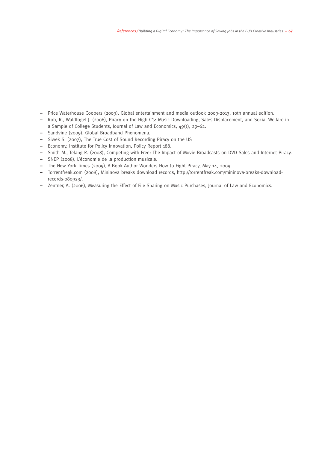- Price Waterhouse Coopers (2009), Global entertainment and media outlook 2009-2013, 10th annual edition.
- Rob, R., Waldfogel J. (2006), Piracy on the High C's: Music Downloading, Sales Displacement, and Social Welfare in a Sample of College Students, Journal of Law and Economics, 49(1), 29–62.
- Sandvine (2009), Global Broadband Phenomena.
- Siwek S. (2007), The True Cost of Sound Recording Piracy on the US
- Economy, Institute for Policy Innovation, Policy Report 188.
- Smith M., Telang R. (2008), Competing with Free: The Impact of Movie Broadcasts on DVD Sales and Internet Piracy.
- SNEP (2008), L'économie de la production musicale.
- The New York Times (2009), A Book Author Wonders How to Fight Piracy, May 14, 2009.
- Torrentfreak.com (2008), Mininova breaks download records, http://torrentfreak.com/mininova-breaks-downloadrecords-080923/.
- Zentner, A. (2006), Measuring the Effect of File Sharing on Music Purchases, Journal of Law and Economics.